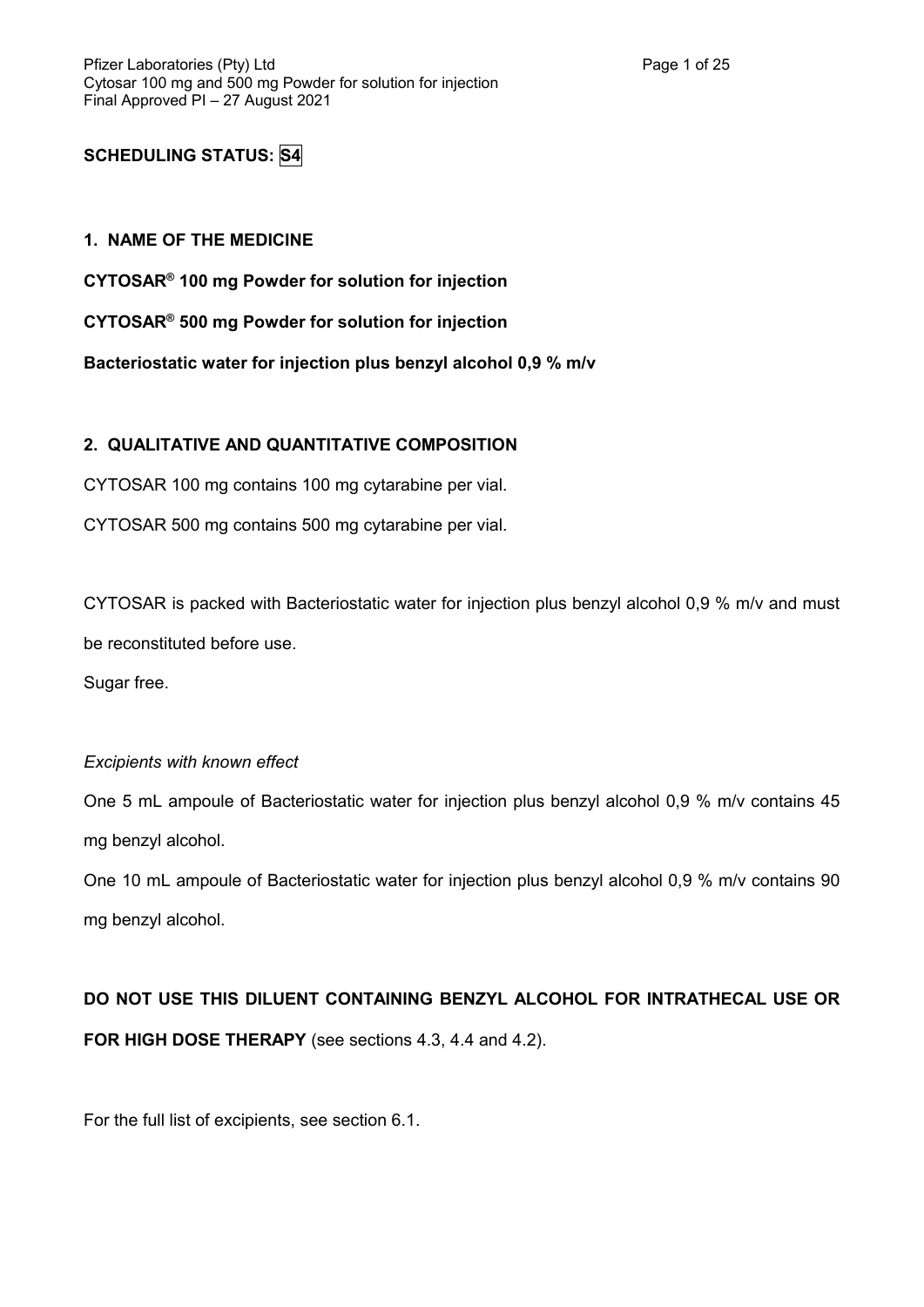# **SCHEDULING STATUS: S4**

### **1. NAME OF THE MEDICINE**

**CYTOSAR® 100 mg Powder for solution for injection**

**CYTOSAR® 500 mg Powder for solution for injection**

**Bacteriostatic water for injection plus benzyl alcohol 0,9 % m/v**

### **2. QUALITATIVE AND QUANTITATIVE COMPOSITION**

CYTOSAR 100 mg contains 100 mg cytarabine per vial.

CYTOSAR 500 mg contains 500 mg cytarabine per vial.

CYTOSAR is packed with Bacteriostatic water for injection plus benzyl alcohol 0,9 % m/v and must be reconstituted before use.

Sugar free.

### *Excipients with known effect*

One 5 mL ampoule of Bacteriostatic water for injection plus benzyl alcohol 0,9 % m/v contains 45 mg benzyl alcohol.

One 10 mL ampoule of Bacteriostatic water for injection plus benzyl alcohol 0,9 % m/v contains 90 mg benzyl alcohol.

# **DO NOT USE THIS DILUENT CONTAINING BENZYL ALCOHOL FOR INTRATHECAL USE OR FOR HIGH DOSE THERAPY** (see sections 4.3, 4.4 and 4.2).

For the full list of excipients, see section 6.1.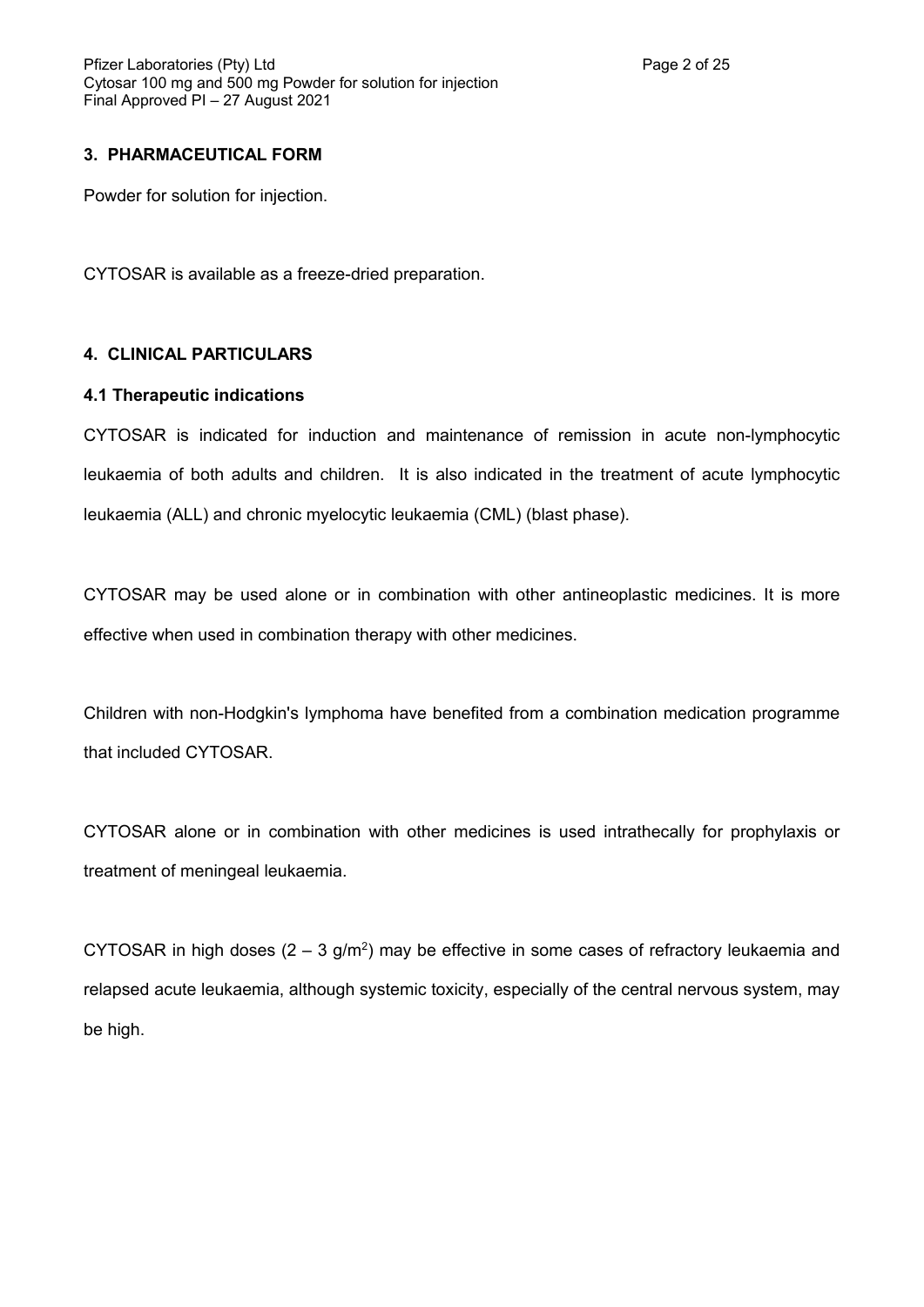### **3. PHARMACEUTICAL FORM**

Powder for solution for injection.

CYTOSAR is available as a freeze-dried preparation.

### **4. CLINICAL PARTICULARS**

### **4.1 Therapeutic indications**

CYTOSAR is indicated for induction and maintenance of remission in acute non-lymphocytic leukaemia of both adults and children. It is also indicated in the treatment of acute lymphocytic leukaemia (ALL) and chronic myelocytic leukaemia (CML) (blast phase).

CYTOSAR may be used alone or in combination with other antineoplastic medicines. It is more effective when used in combination therapy with other medicines.

Children with non-Hodgkin's lymphoma have benefited from a combination medication programme that included CYTOSAR.

CYTOSAR alone or in combination with other medicines is used intrathecally for prophylaxis or treatment of meningeal leukaemia.

CYTOSAR in high doses  $(2 - 3 g/m^2)$  may be effective in some cases of refractory leukaemia and relapsed acute leukaemia, although systemic toxicity, especially of the central nervous system, may be high.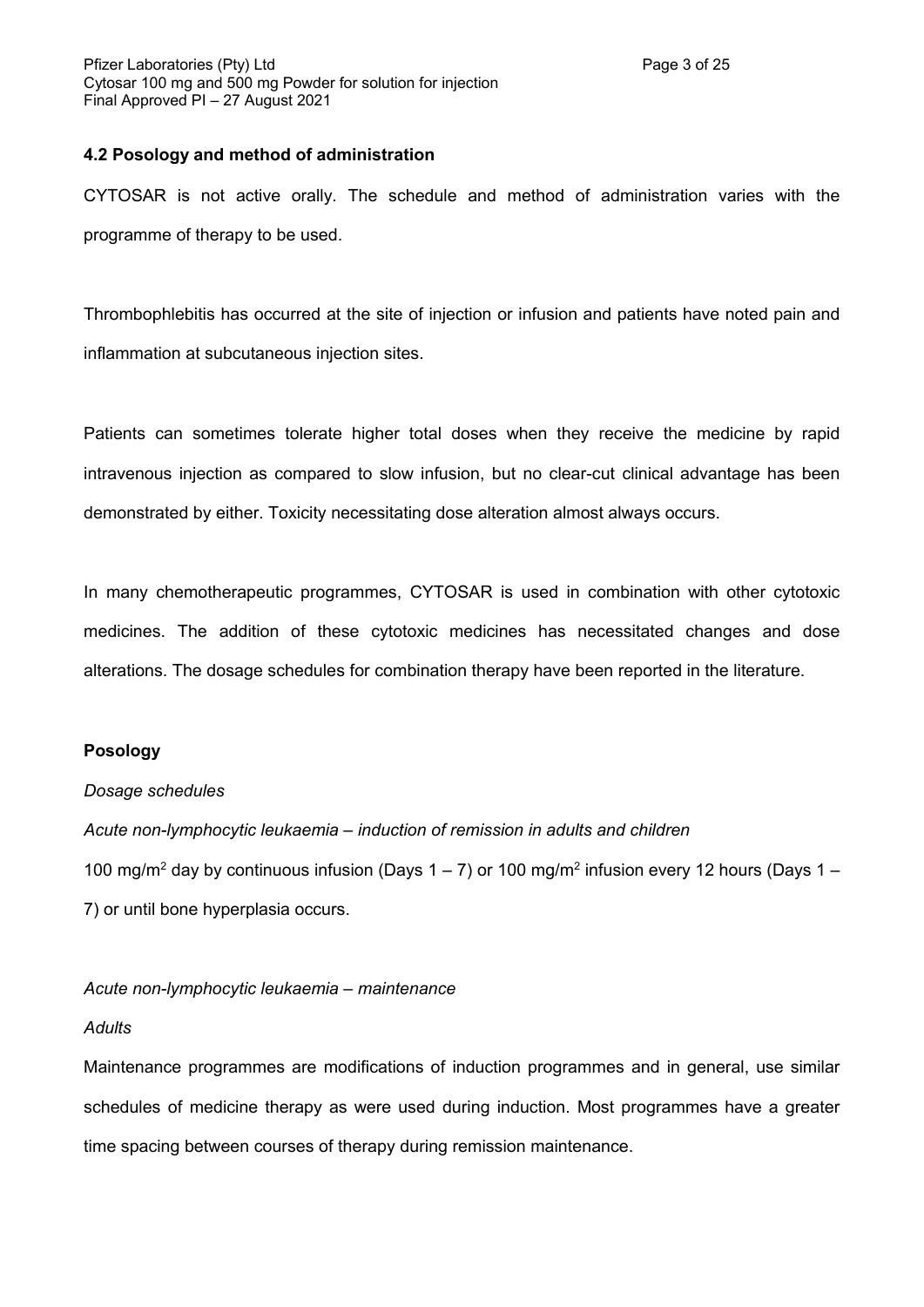### **4.2 Posology and method of administration**

CYTOSAR is not active orally. The schedule and method of administration varies with the programme of therapy to be used.

Thrombophlebitis has occurred at the site of injection or infusion and patients have noted pain and inflammation at subcutaneous injection sites.

Patients can sometimes tolerate higher total doses when they receive the medicine by rapid intravenous injection as compared to slow infusion, but no clear-cut clinical advantage has been demonstrated by either. Toxicity necessitating dose alteration almost always occurs.

In many chemotherapeutic programmes, CYTOSAR is used in combination with other cytotoxic medicines. The addition of these cytotoxic medicines has necessitated changes and dose alterations. The dosage schedules for combination therapy have been reported in the literature.

# **Posology**

### *Dosage schedules*

*Acute non-lymphocytic leukaemia – induction of remission in adults and children* 100 mg/m<sup>2</sup> day by continuous infusion (Days 1 – 7) or 100 mg/m<sup>2</sup> infusion every 12 hours (Days 1 – 7) or until bone hyperplasia occurs.

### *Acute non-lymphocytic leukaemia – maintenance*

### *Adults*

Maintenance programmes are modifications of induction programmes and in general, use similar schedules of medicine therapy as were used during induction. Most programmes have a greater time spacing between courses of therapy during remission maintenance.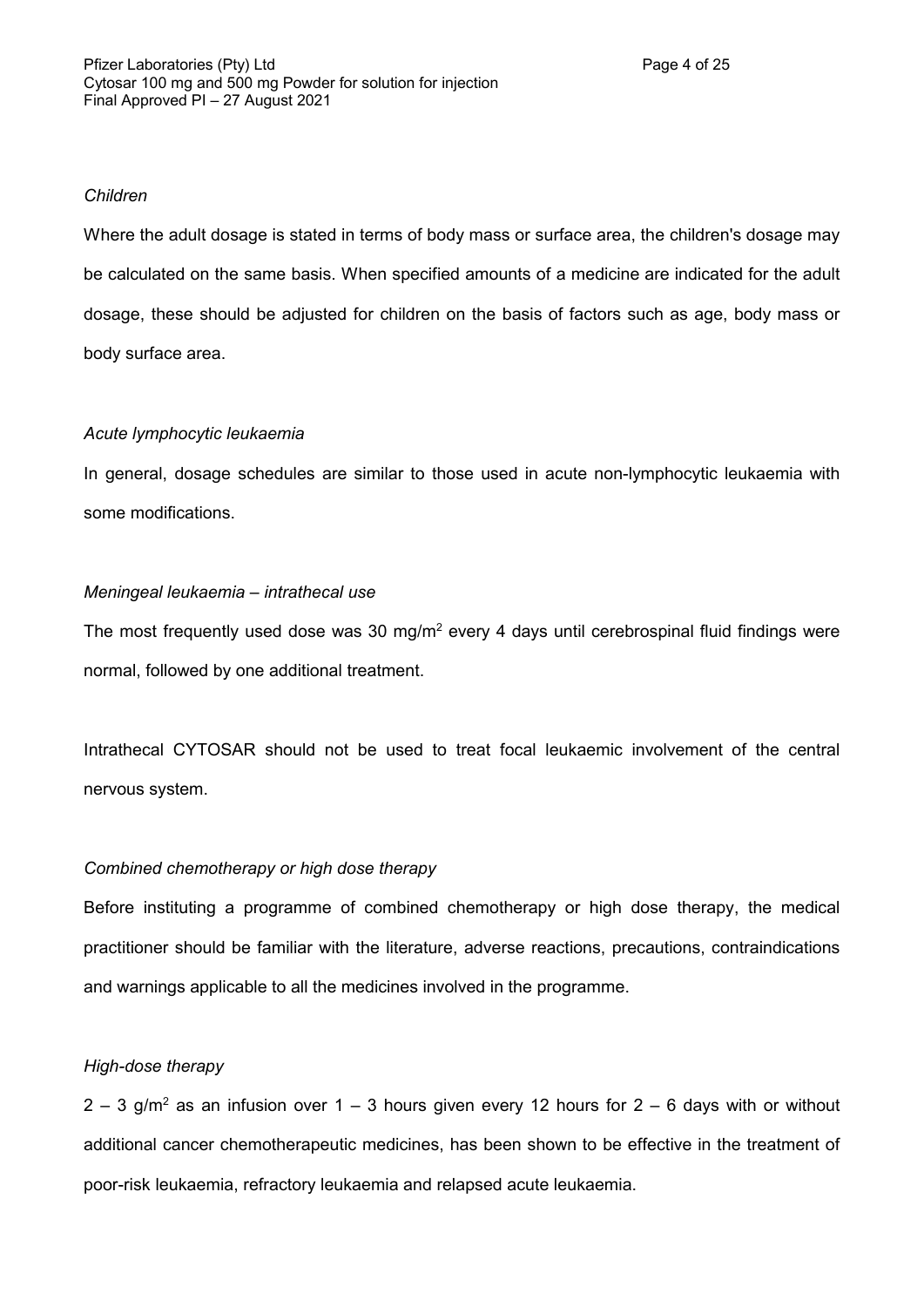### *Children*

Where the adult dosage is stated in terms of body mass or surface area, the children's dosage may be calculated on the same basis. When specified amounts of a medicine are indicated for the adult dosage, these should be adjusted for children on the basis of factors such as age, body mass or body surface area.

# *Acute lymphocytic leukaemia*

In general, dosage schedules are similar to those used in acute non-lymphocytic leukaemia with some modifications.

### *Meningeal leukaemia – intrathecal use*

The most frequently used dose was 30 mg/m<sup>2</sup> every 4 days until cerebrospinal fluid findings were normal, followed by one additional treatment.

Intrathecal CYTOSAR should not be used to treat focal leukaemic involvement of the central nervous system.

# *Combined chemotherapy or high dose therapy*

Before instituting a programme of combined chemotherapy or high dose therapy, the medical practitioner should be familiar with the literature, adverse reactions, precautions, contraindications and warnings applicable to all the medicines involved in the programme.

# *High-dose therapy*

 $2 - 3$  g/m<sup>2</sup> as an infusion over 1 – 3 hours given every 12 hours for 2 – 6 days with or without additional cancer chemotherapeutic medicines, has been shown to be effective in the treatment of poor-risk leukaemia, refractory leukaemia and relapsed acute leukaemia.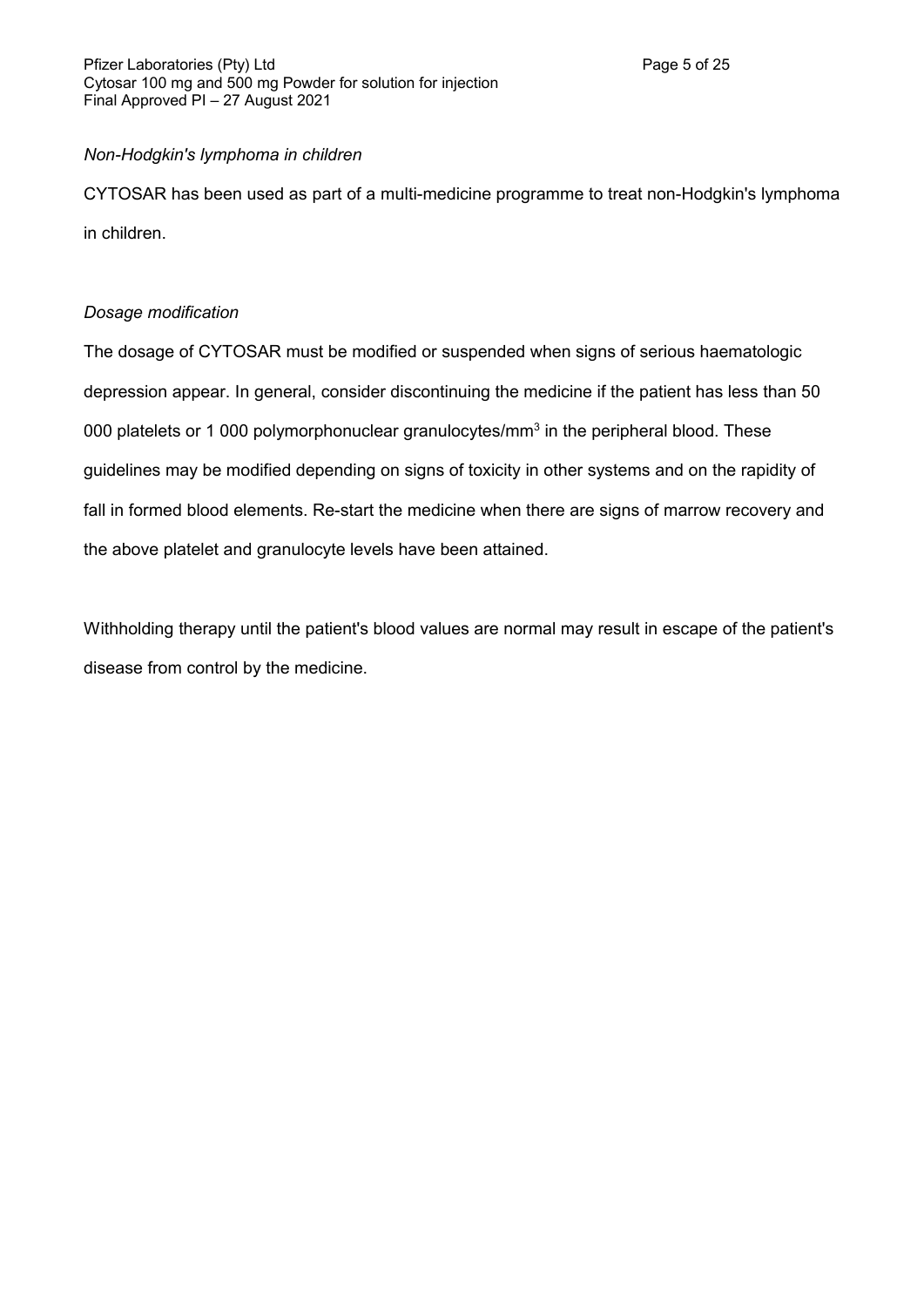# *Non-Hodgkin's lymphoma in children*

CYTOSAR has been used as part of a multi-medicine programme to treat non-Hodgkin's lymphoma in children.

# *Dosage modification*

The dosage of CYTOSAR must be modified or suspended when signs of serious haematologic depression appear. In general, consider discontinuing the medicine if the patient has less than 50 000 platelets or 1 000 polymorphonuclear granulocytes/mm<sup>3</sup> in the peripheral blood. These guidelines may be modified depending on signs of toxicity in other systems and on the rapidity of fall in formed blood elements. Re-start the medicine when there are signs of marrow recovery and the above platelet and granulocyte levels have been attained.

Withholding therapy until the patient's blood values are normal may result in escape of the patient's disease from control by the medicine.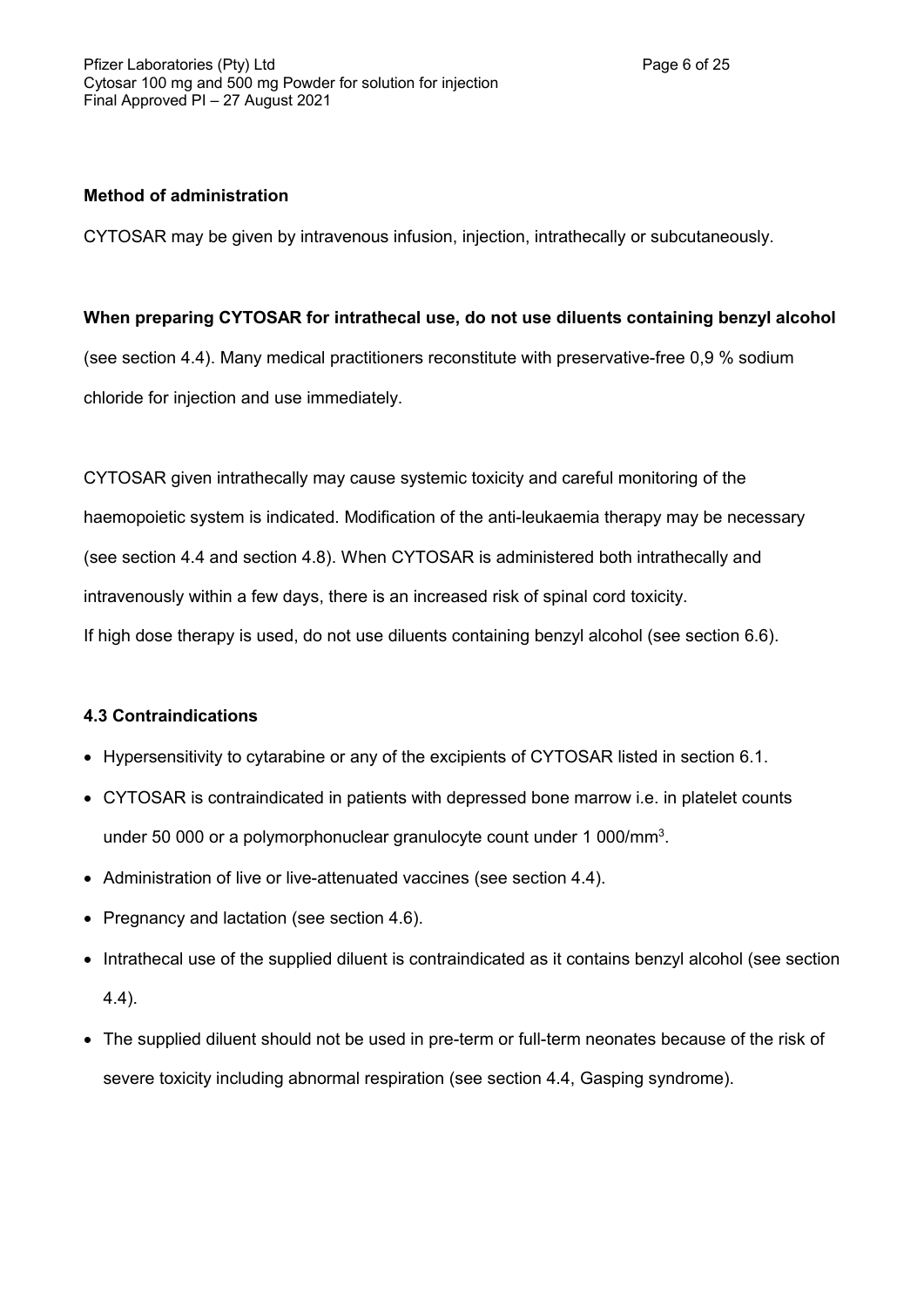# **Method of administration**

CYTOSAR may be given by intravenous infusion, injection, intrathecally or subcutaneously.

# **When preparing CYTOSAR for intrathecal use, do not use diluents containing benzyl alcohol**

(see section 4.4). Many medical practitioners reconstitute with preservative-free 0,9 % sodium chloride for injection and use immediately.

CYTOSAR given intrathecally may cause systemic toxicity and careful monitoring of the haemopoietic system is indicated. Modification of the anti-leukaemia therapy may be necessary (see section 4.4 and section 4.8). When CYTOSAR is administered both intrathecally and intravenously within a few days, there is an increased risk of spinal cord toxicity. If high dose therapy is used, do not use diluents containing benzyl alcohol (see section 6.6).

# **4.3 Contraindications**

- Hypersensitivity to cytarabine or any of the excipients of CYTOSAR listed in section 6.1.
- CYTOSAR is contraindicated in patients with depressed bone marrow i.e. in platelet counts under 50 000 or a polymorphonuclear granulocyte count under 1 000/mm<sup>3</sup>.
- Administration of live or live-attenuated vaccines (see section 4.4).
- Pregnancy and lactation (see section 4.6).
- Intrathecal use of the supplied diluent is contraindicated as it contains benzyl alcohol (see section 4.4).
- The supplied diluent should not be used in pre-term or full-term neonates because of the risk of severe toxicity including abnormal respiration (see section 4.4, Gasping syndrome).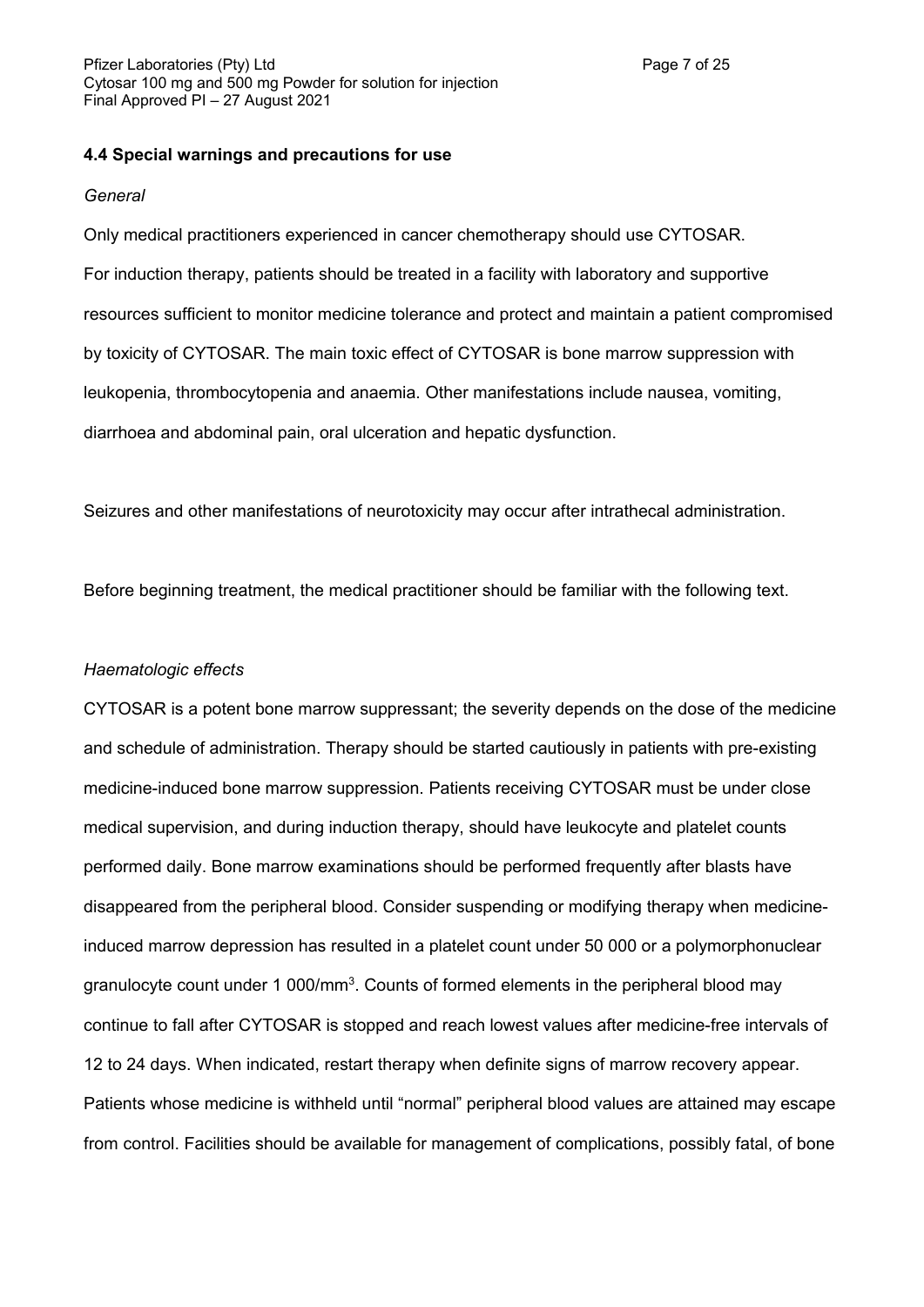# **4.4 Special warnings and precautions for use**

### *General*

Only medical practitioners experienced in cancer chemotherapy should use CYTOSAR. For induction therapy, patients should be treated in a facility with laboratory and supportive resources sufficient to monitor medicine tolerance and protect and maintain a patient compromised by toxicity of CYTOSAR. The main toxic effect of CYTOSAR is bone marrow suppression with leukopenia, thrombocytopenia and anaemia. Other manifestations include nausea, vomiting, diarrhoea and abdominal pain, oral ulceration and hepatic dysfunction.

Seizures and other manifestations of neurotoxicity may occur after intrathecal administration.

Before beginning treatment, the medical practitioner should be familiar with the following text.

### *Haematologic effects*

CYTOSAR is a potent bone marrow suppressant; the severity depends on the dose of the medicine and schedule of administration. Therapy should be started cautiously in patients with pre-existing medicine-induced bone marrow suppression. Patients receiving CYTOSAR must be under close medical supervision, and during induction therapy, should have leukocyte and platelet counts performed daily. Bone marrow examinations should be performed frequently after blasts have disappeared from the peripheral blood. Consider suspending or modifying therapy when medicineinduced marrow depression has resulted in a platelet count under 50 000 or a polymorphonuclear granulocyte count under 1 000/mm<sup>3</sup>. Counts of formed elements in the peripheral blood may continue to fall after CYTOSAR is stopped and reach lowest values after medicine-free intervals of 12 to 24 days. When indicated, restart therapy when definite signs of marrow recovery appear. Patients whose medicine is withheld until "normal" peripheral blood values are attained may escape from control. Facilities should be available for management of complications, possibly fatal, of bone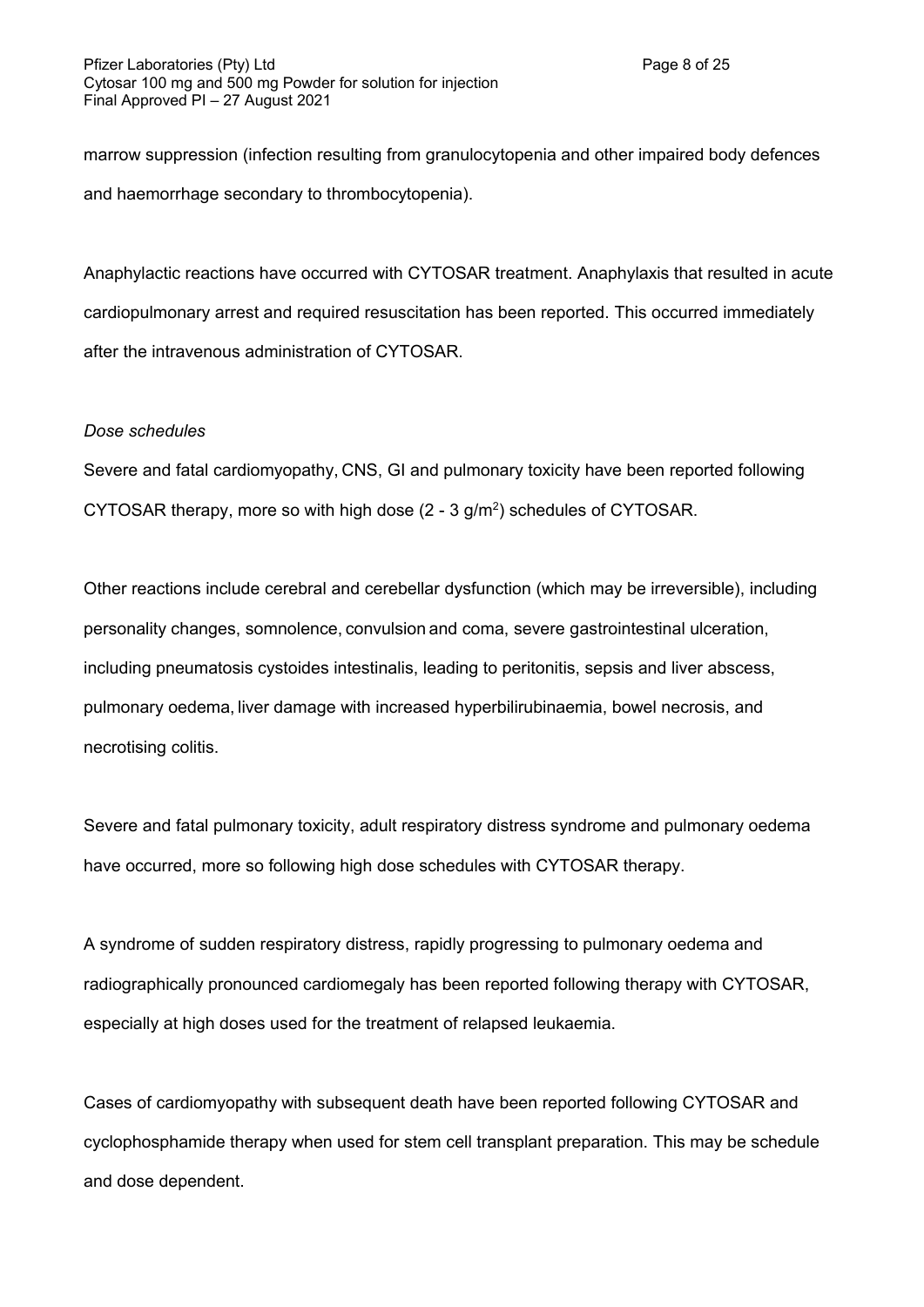marrow suppression (infection resulting from granulocytopenia and other impaired body defences and haemorrhage secondary to thrombocytopenia).

Anaphylactic reactions have occurred with CYTOSAR treatment. Anaphylaxis that resulted in acute cardiopulmonary arrest and required resuscitation has been reported. This occurred immediately after the intravenous administration of CYTOSAR.

#### *Dose schedules*

Severe and fatal cardiomyopathy, CNS, GI and pulmonary toxicity have been reported following CYTOSAR therapy, more so with high dose  $(2 - 3)$  g/m<sup>2</sup>) schedules of CYTOSAR.

Other reactions include cerebral and cerebellar dysfunction (which may be irreversible), including personality changes, somnolence, convulsion and coma, severe gastrointestinal ulceration, including pneumatosis cystoides intestinalis, leading to peritonitis, sepsis and liver abscess, pulmonary oedema, liver damage with increased hyperbilirubinaemia, bowel necrosis, and necrotising colitis.

Severe and fatal pulmonary toxicity, adult respiratory distress syndrome and pulmonary oedema have occurred, more so following high dose schedules with CYTOSAR therapy.

A syndrome of sudden respiratory distress, rapidly progressing to pulmonary oedema and radiographically pronounced cardiomegaly has been reported following therapy with CYTOSAR, especially at high doses used for the treatment of relapsed leukaemia.

Cases of cardiomyopathy with subsequent death have been reported following CYTOSAR and cyclophosphamide therapy when used for stem cell transplant preparation. This may be schedule and dose dependent.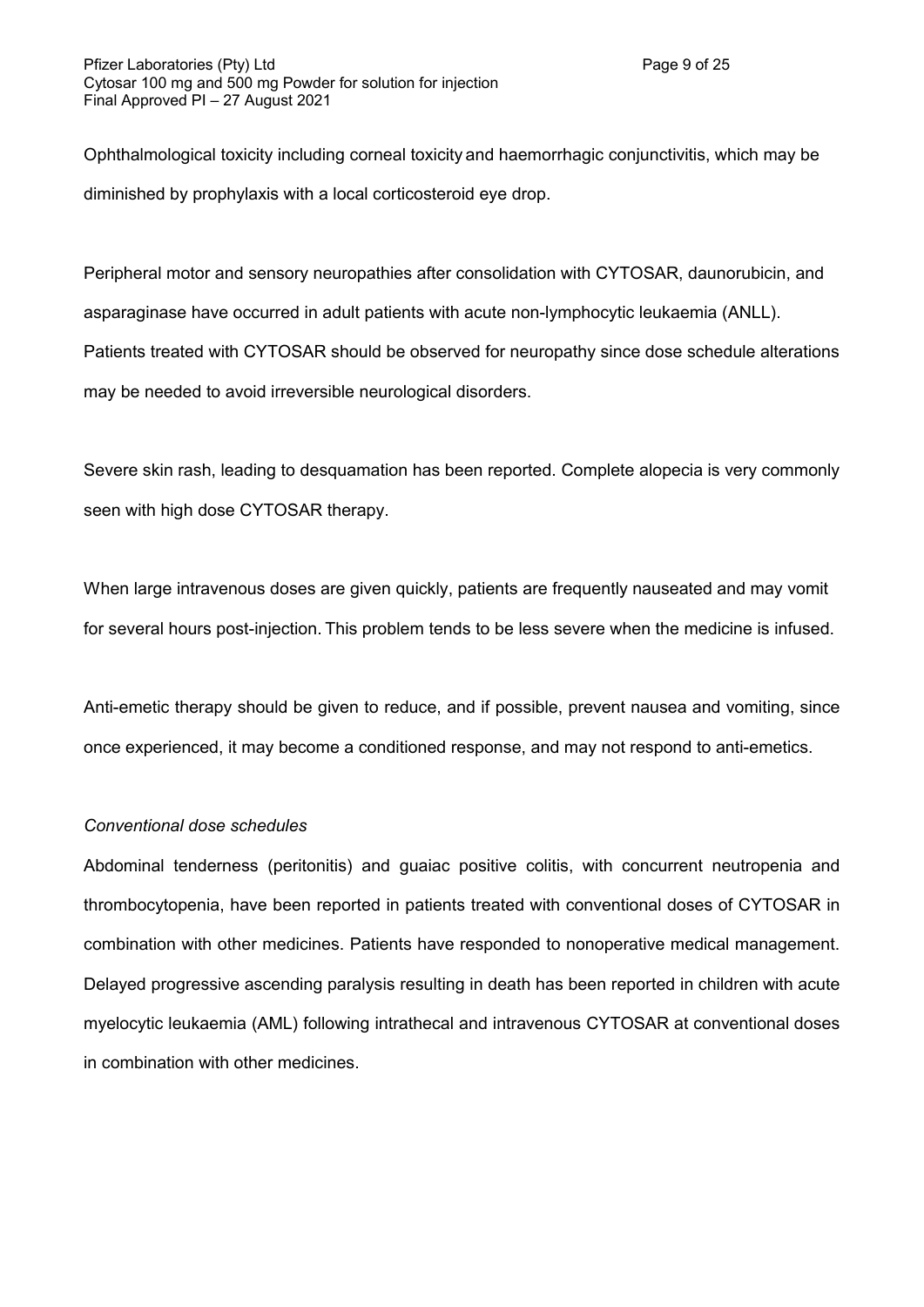Ophthalmological toxicity including corneal toxicity and haemorrhagic conjunctivitis, which may be diminished by prophylaxis with a local corticosteroid eye drop.

Peripheral motor and sensory neuropathies after consolidation with CYTOSAR, daunorubicin, and asparaginase have occurred in adult patients with acute non-lymphocytic leukaemia (ANLL). Patients treated with CYTOSAR should be observed for neuropathy since dose schedule alterations may be needed to avoid irreversible neurological disorders.

Severe skin rash, leading to desquamation has been reported. Complete alopecia is very commonly seen with high dose CYTOSAR therapy.

When large intravenous doses are given quickly, patients are frequently nauseated and may vomit for several hours post-injection. This problem tends to be less severe when the medicine is infused.

Anti-emetic therapy should be given to reduce, and if possible, prevent nausea and vomiting, since once experienced, it may become a conditioned response, and may not respond to anti-emetics.

### *Conventional dose schedules*

Abdominal tenderness (peritonitis) and guaiac positive colitis, with concurrent neutropenia and thrombocytopenia, have been reported in patients treated with conventional doses of CYTOSAR in combination with other medicines. Patients have responded to nonoperative medical management. Delayed progressive ascending paralysis resulting in death has been reported in children with acute myelocytic leukaemia (AML) following intrathecal and intravenous CYTOSAR at conventional doses in combination with other medicines.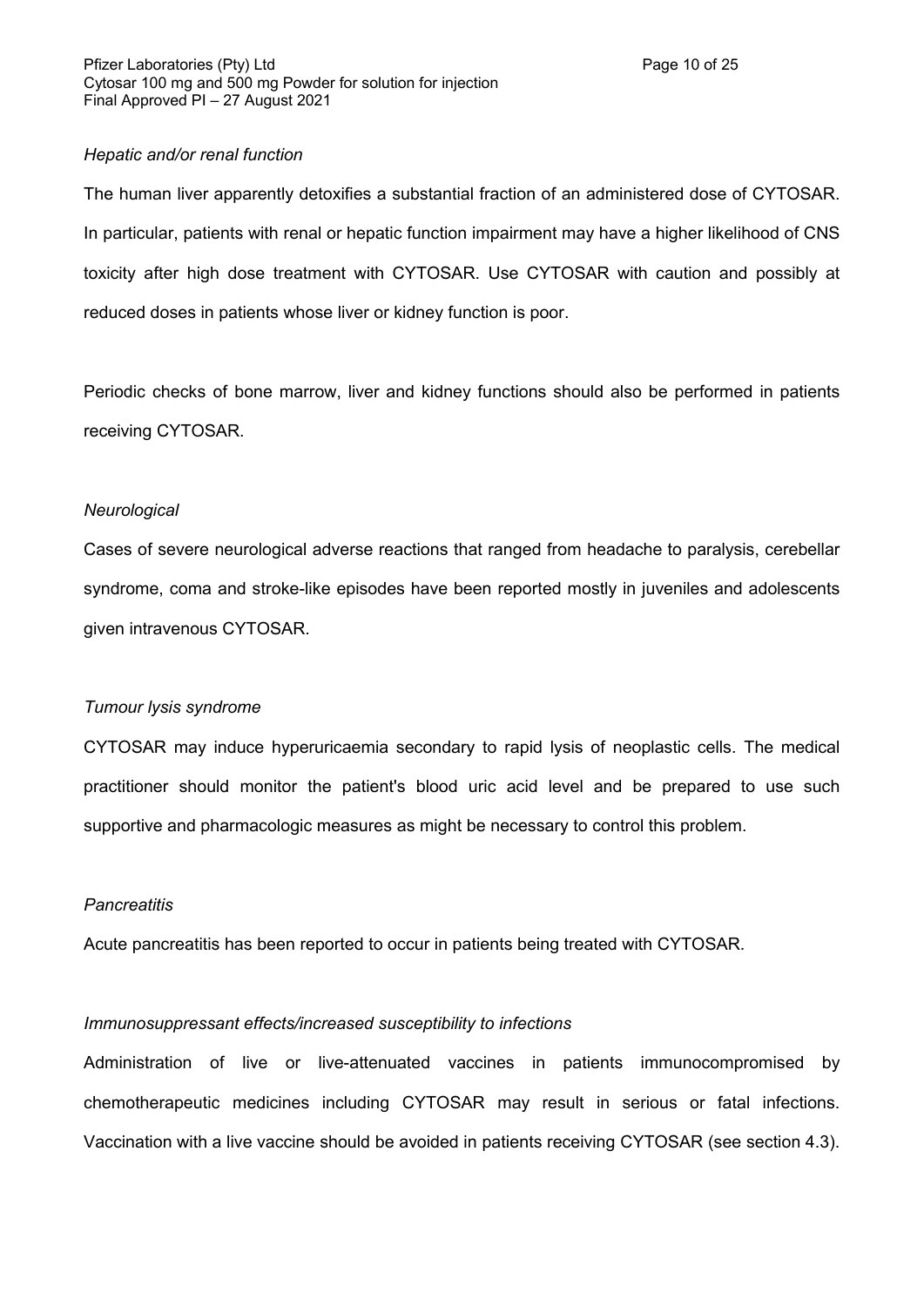### *Hepatic and/or renal function*

The human liver apparently detoxifies a substantial fraction of an administered dose of CYTOSAR. In particular, patients with renal or hepatic function impairment may have a higher likelihood of CNS toxicity after high dose treatment with CYTOSAR. Use CYTOSAR with caution and possibly at reduced doses in patients whose liver or kidney function is poor.

Periodic checks of bone marrow, liver and kidney functions should also be performed in patients receiving CYTOSAR.

### *Neurological*

Cases of severe neurological adverse reactions that ranged from headache to paralysis, cerebellar syndrome, coma and stroke-like episodes have been reported mostly in juveniles and adolescents given intravenous CYTOSAR.

### *Tumour lysis syndrome*

CYTOSAR may induce hyperuricaemia secondary to rapid lysis of neoplastic cells. The medical practitioner should monitor the patient's blood uric acid level and be prepared to use such supportive and pharmacologic measures as might be necessary to control this problem.

### *Pancreatitis*

Acute pancreatitis has been reported to occur in patients being treated with CYTOSAR.

# *Immunosuppressant effects/increased susceptibility to infections*

Administration of live or live-attenuated vaccines in patients immunocompromised by chemotherapeutic medicines including CYTOSAR may result in serious or fatal infections. Vaccination with a live vaccine should be avoided in patients receiving CYTOSAR (see section 4.3).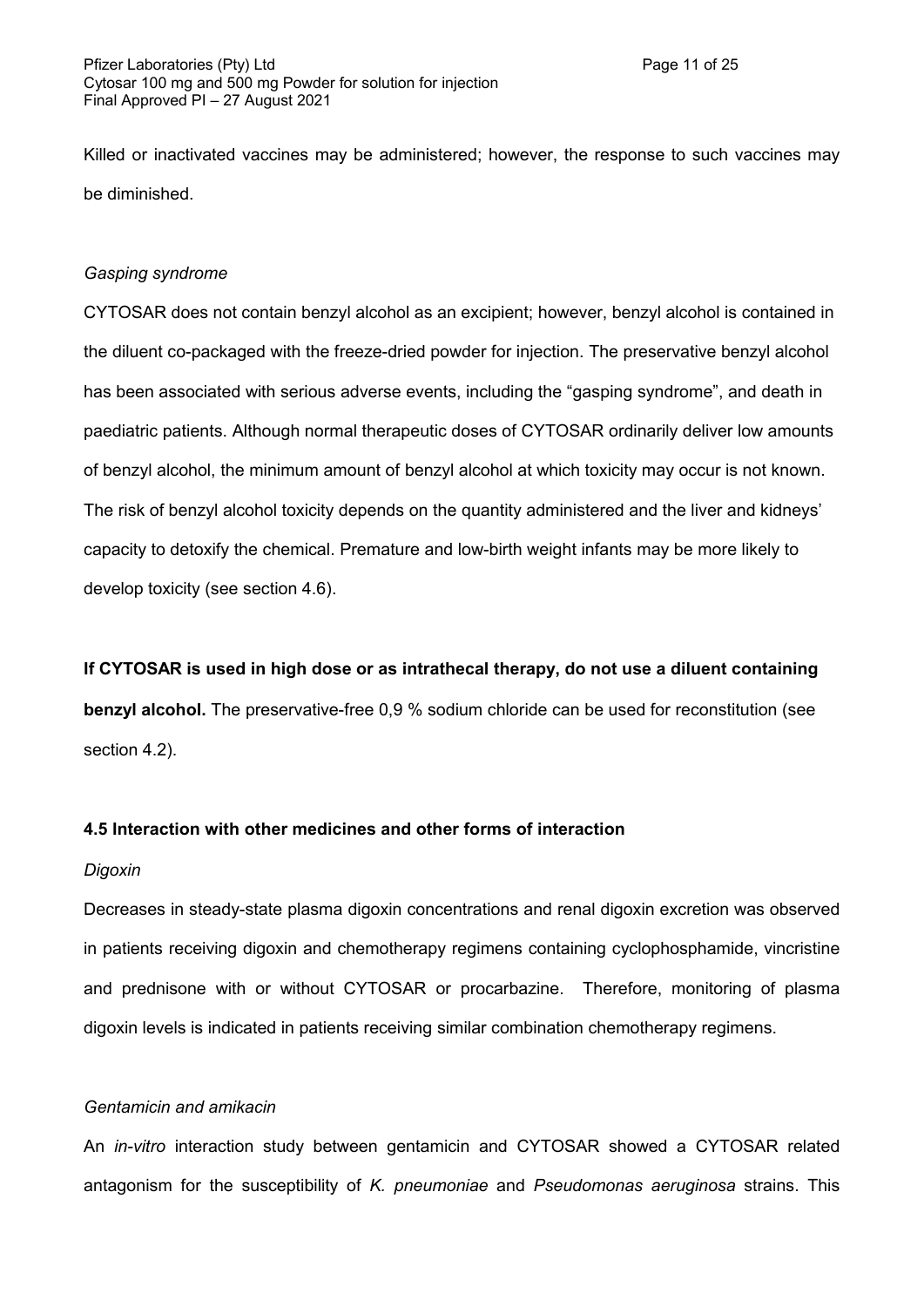Killed or inactivated vaccines may be administered; however, the response to such vaccines may be diminished.

#### *Gasping syndrome*

CYTOSAR does not contain benzyl alcohol as an excipient; however, benzyl alcohol is contained in the diluent co-packaged with the freeze-dried powder for injection. The preservative benzyl alcohol has been associated with serious adverse events, including the "gasping syndrome", and death in paediatric patients. Although normal therapeutic doses of CYTOSAR ordinarily deliver low amounts of benzyl alcohol, the minimum amount of benzyl alcohol at which toxicity may occur is not known. The risk of benzyl alcohol toxicity depends on the quantity administered and the liver and kidneys' capacity to detoxify the chemical. Premature and low-birth weight infants may be more likely to develop toxicity (see section 4.6).

#### **If CYTOSAR is used in high dose or as intrathecal therapy, do not use a diluent containing**

**benzyl alcohol.** The preservative-free 0,9 % sodium chloride can be used for reconstitution (see section 4.2).

### **4.5 Interaction with other medicines and other forms of interaction**

#### *Digoxin*

Decreases in steady-state plasma digoxin concentrations and renal digoxin excretion was observed in patients receiving digoxin and chemotherapy regimens containing cyclophosphamide, vincristine and prednisone with or without CYTOSAR or procarbazine. Therefore, monitoring of plasma digoxin levels is indicated in patients receiving similar combination chemotherapy regimens.

### *Gentamicin and amikacin*

An *in-vitro* interaction study between gentamicin and CYTOSAR showed a CYTOSAR related antagonism for the susceptibility of *K. pneumoniae* and *Pseudomonas aeruginosa* strains. This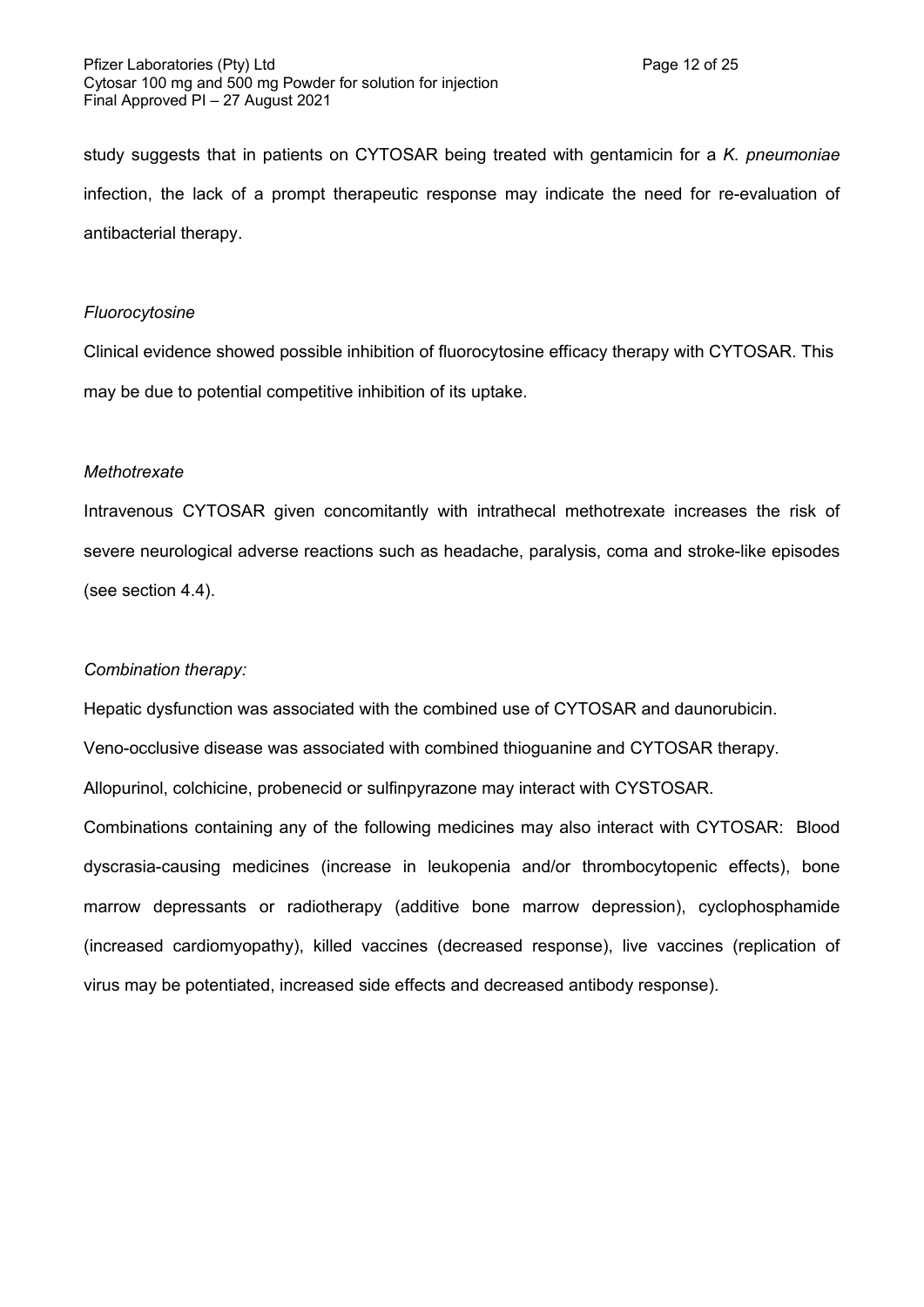study suggests that in patients on CYTOSAR being treated with gentamicin for a *K. pneumoniae* infection, the lack of a prompt therapeutic response may indicate the need for re-evaluation of antibacterial therapy.

#### *Fluorocytosine*

Clinical evidence showed possible inhibition of fluorocytosine efficacy therapy with CYTOSAR. This may be due to potential competitive inhibition of its uptake.

### *Methotrexate*

Intravenous CYTOSAR given concomitantly with intrathecal methotrexate increases the risk of severe neurological adverse reactions such as headache, paralysis, coma and stroke-like episodes (see section 4.4).

### *Combination therapy:*

Hepatic dysfunction was associated with the combined use of CYTOSAR and daunorubicin.

Veno-occlusive disease was associated with combined thioguanine and CYTOSAR therapy.

Allopurinol, colchicine, probenecid or sulfinpyrazone may interact with CYSTOSAR.

Combinations containing any of the following medicines may also interact with CYTOSAR: Blood dyscrasia-causing medicines (increase in leukopenia and/or thrombocytopenic effects), bone marrow depressants or radiotherapy (additive bone marrow depression), cyclophosphamide (increased cardiomyopathy), killed vaccines (decreased response), live vaccines (replication of virus may be potentiated, increased side effects and decreased antibody response).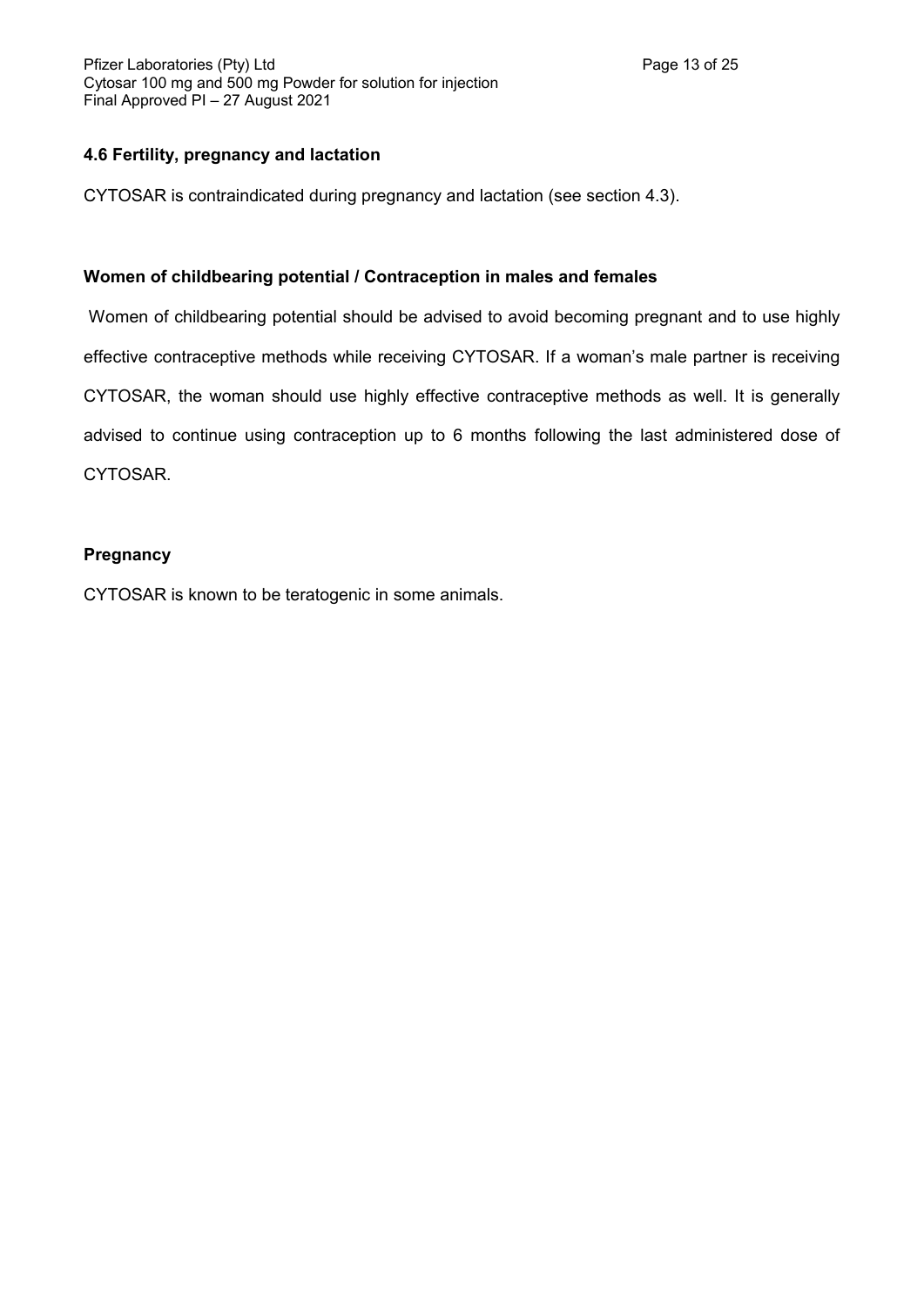# **4.6 Fertility, pregnancy and lactation**

CYTOSAR is contraindicated during pregnancy and lactation (see section 4.3).

# **Women of childbearing potential / Contraception in males and females**

Women of childbearing potential should be advised to avoid becoming pregnant and to use highly effective contraceptive methods while receiving CYTOSAR. If a woman's male partner is receiving CYTOSAR, the woman should use highly effective contraceptive methods as well. It is generally advised to continue using contraception up to 6 months following the last administered dose of CYTOSAR.

# **Pregnancy**

CYTOSAR is known to be teratogenic in some animals.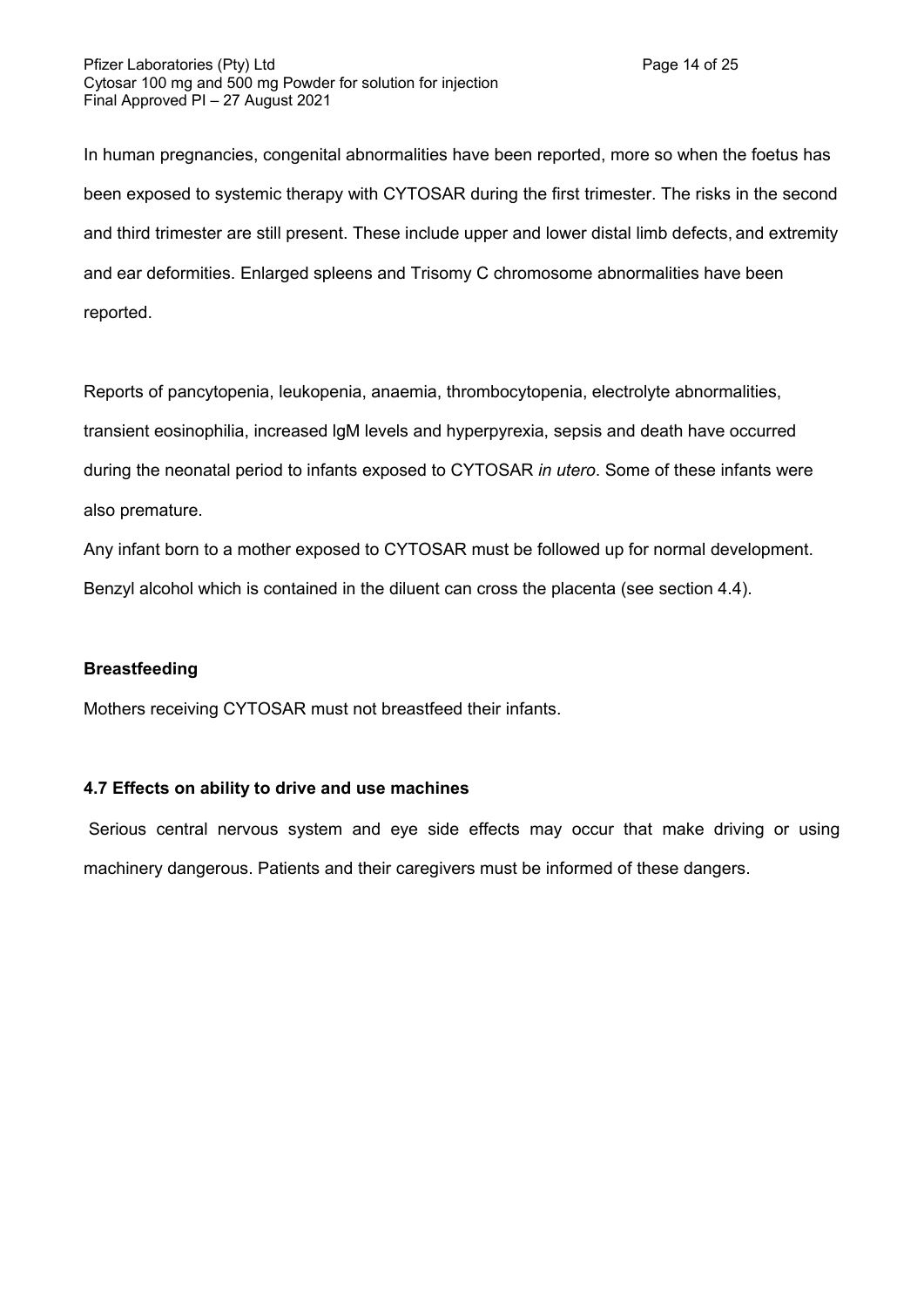In human pregnancies, congenital abnormalities have been reported, more so when the foetus has been exposed to systemic therapy with CYTOSAR during the first trimester. The risks in the second and third trimester are still present. These include upper and lower distal limb defects, and extremity and ear deformities. Enlarged spleens and Trisomy C chromosome abnormalities have been reported.

Reports of pancytopenia, leukopenia, anaemia, thrombocytopenia, electrolyte abnormalities, transient eosinophilia, increased lgM levels and hyperpyrexia, sepsis and death have occurred during the neonatal period to infants exposed to CYTOSAR *in utero*. Some of these infants were also premature.

Any infant born to a mother exposed to CYTOSAR must be followed up for normal development. Benzyl alcohol which is contained in the diluent can cross the placenta (see section 4.4).

# **Breastfeeding**

Mothers receiving CYTOSAR must not breastfeed their infants.

### **4.7 Effects on ability to drive and use machines**

Serious central nervous system and eye side effects may occur that make driving or using machinery dangerous. Patients and their caregivers must be informed of these dangers.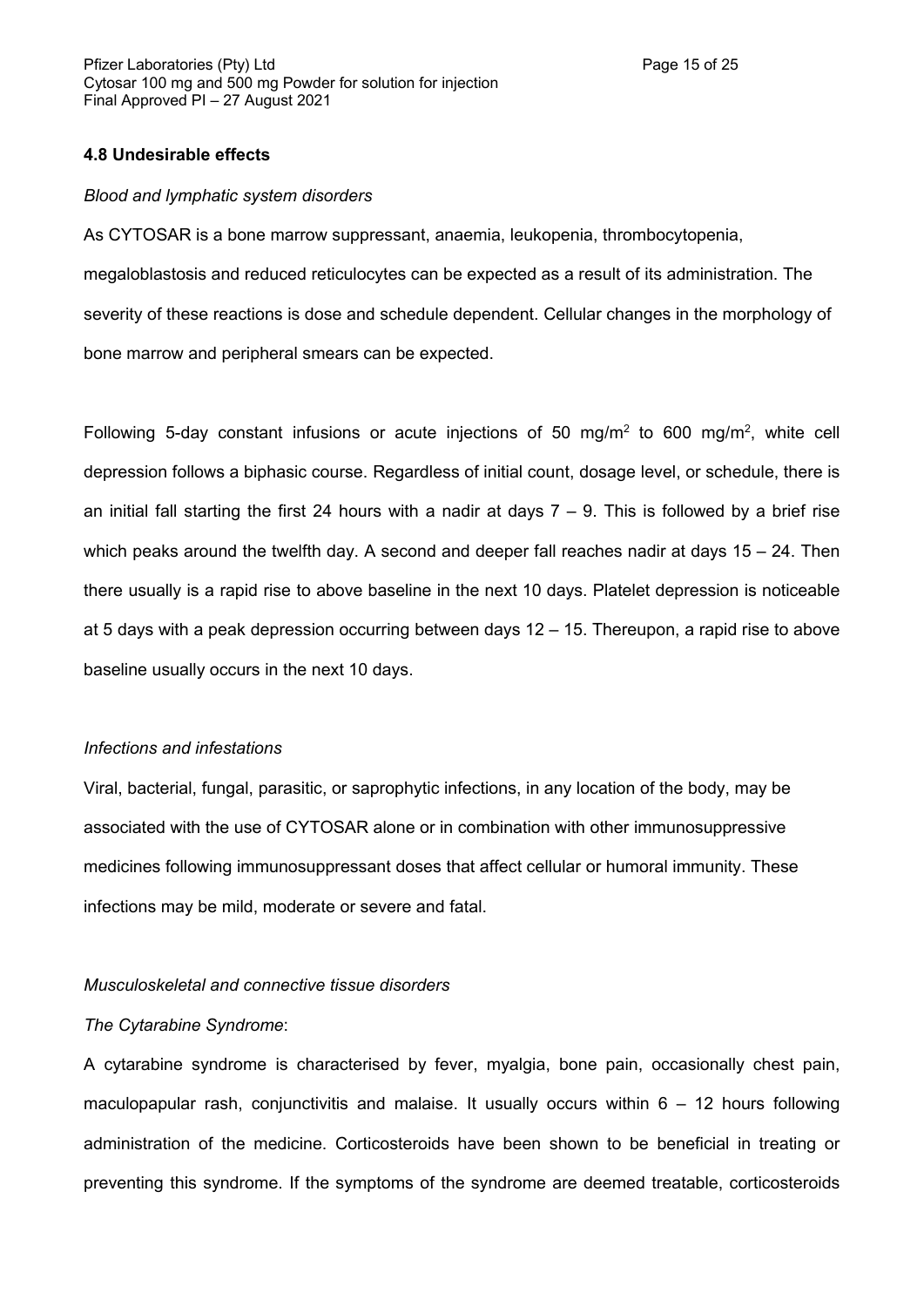#### **4.8 Undesirable effects**

#### *Blood and lymphatic system disorders*

As CYTOSAR is a bone marrow suppressant, anaemia, leukopenia, thrombocytopenia, megaloblastosis and reduced reticulocytes can be expected as a result of its administration. The severity of these reactions is dose and schedule dependent. Cellular changes in the morphology of bone marrow and peripheral smears can be expected.

Following 5-day constant infusions or acute injections of 50 mg/m<sup>2</sup> to 600 mg/m<sup>2</sup>, white cell depression follows a biphasic course. Regardless of initial count, dosage level, or schedule, there is an initial fall starting the first 24 hours with a nadir at days  $7 - 9$ . This is followed by a brief rise which peaks around the twelfth day. A second and deeper fall reaches nadir at days 15 – 24. Then there usually is a rapid rise to above baseline in the next 10 days. Platelet depression is noticeable at 5 days with a peak depression occurring between days 12 – 15. Thereupon, a rapid rise to above baseline usually occurs in the next 10 days.

#### *Infections and infestations*

Viral, bacterial, fungal, parasitic, or saprophytic infections, in any location of the body, may be associated with the use of CYTOSAR alone or in combination with other immunosuppressive medicines following immunosuppressant doses that affect cellular or humoral immunity. These infections may be mild, moderate or severe and fatal.

#### *Musculoskeletal and connective tissue disorders*

#### *The Cytarabine Syndrome*:

A cytarabine syndrome is characterised by fever, myalgia, bone pain, occasionally chest pain, maculopapular rash, conjunctivitis and malaise. It usually occurs within  $6 - 12$  hours following administration of the medicine. Corticosteroids have been shown to be beneficial in treating or preventing this syndrome. If the symptoms of the syndrome are deemed treatable, corticosteroids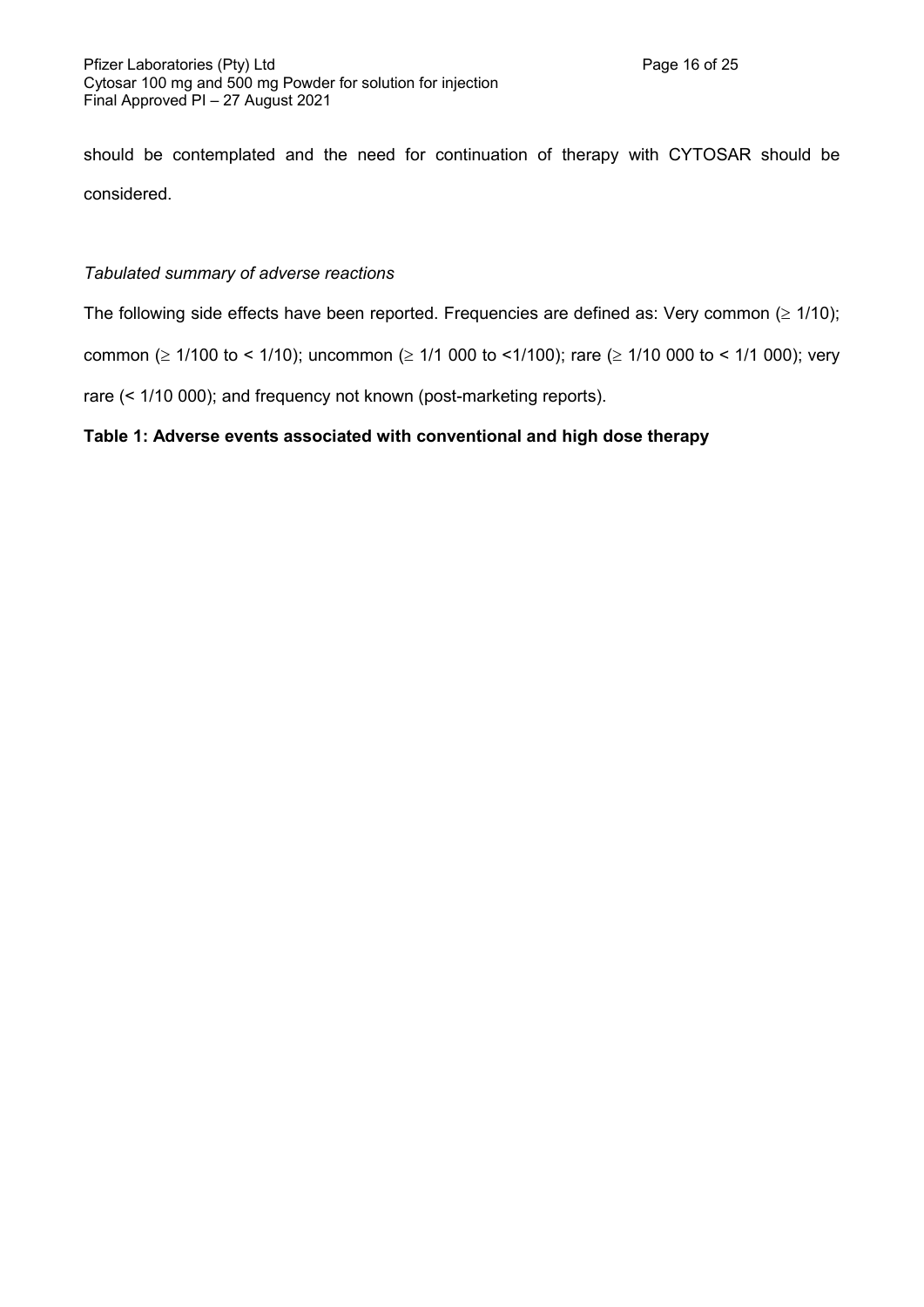should be contemplated and the need for continuation of therapy with CYTOSAR should be considered.

# *Tabulated summary of adverse reactions*

The following side effects have been reported. Frequencies are defined as: Very common  $( \geq 1/10);$ 

common ( $\geq$  1/100 to < 1/10); uncommon ( $\geq$  1/1 000 to < 1/100); rare ( $\geq$  1/10 000 to < 1/1 000); very

rare (< 1/10 000); and frequency not known (post-marketing reports).

# **Table 1: Adverse events associated with conventional and high dose therapy**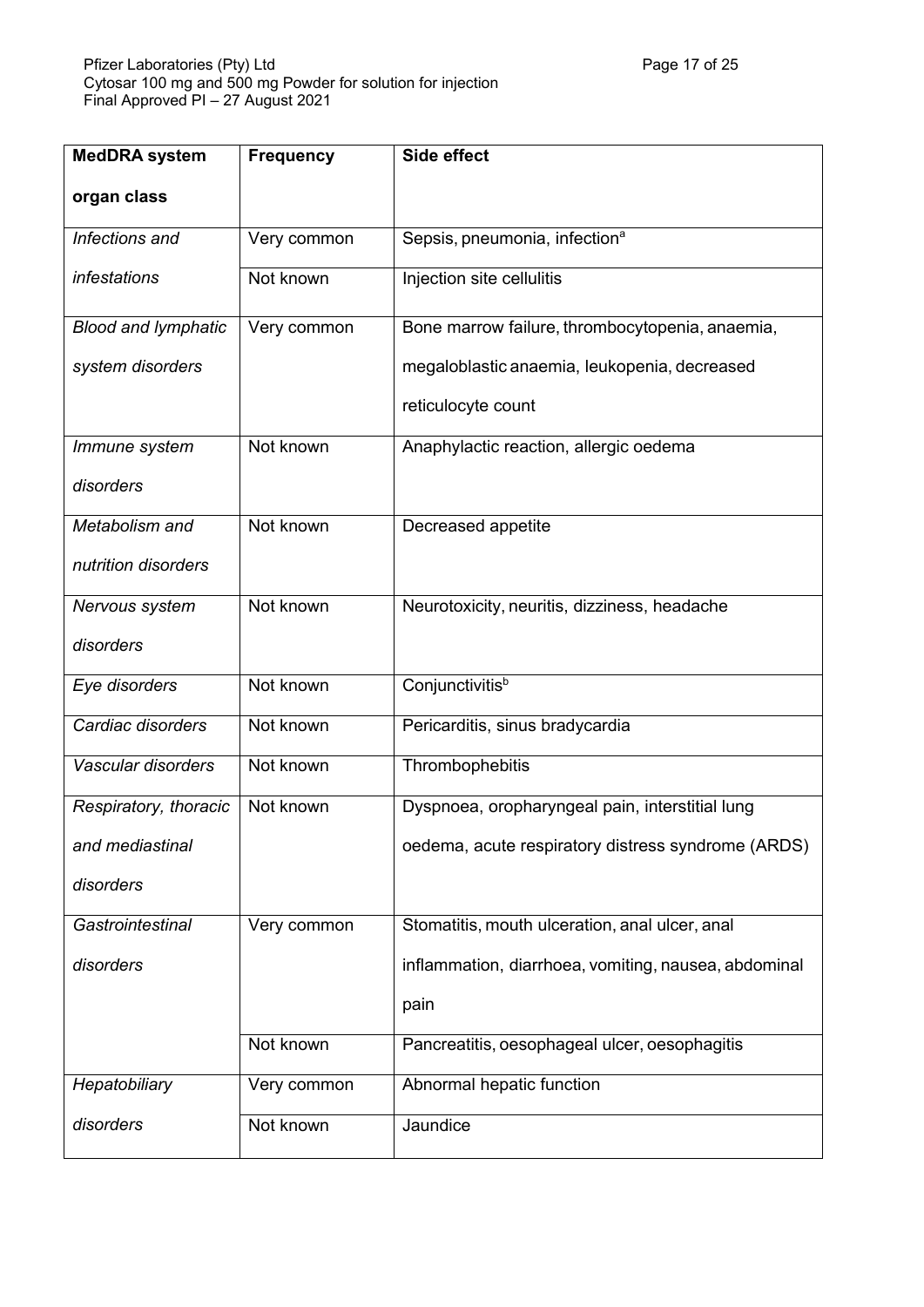| <b>MedDRA</b> system       | <b>Frequency</b> | Side effect                                          |
|----------------------------|------------------|------------------------------------------------------|
| organ class                |                  |                                                      |
| Infections and             | Very common      | Sepsis, pneumonia, infection <sup>a</sup>            |
| infestations               | Not known        | Injection site cellulitis                            |
| <b>Blood and lymphatic</b> | Very common      | Bone marrow failure, thrombocytopenia, anaemia,      |
| system disorders           |                  | megaloblastic anaemia, leukopenia, decreased         |
|                            |                  | reticulocyte count                                   |
| Immune system              | Not known        | Anaphylactic reaction, allergic oedema               |
| disorders                  |                  |                                                      |
| Metabolism and             | Not known        | Decreased appetite                                   |
| nutrition disorders        |                  |                                                      |
| Nervous system             | Not known        | Neurotoxicity, neuritis, dizziness, headache         |
| disorders                  |                  |                                                      |
| Eye disorders              | Not known        | Conjunctivitis <sup>b</sup>                          |
| Cardiac disorders          | Not known        | Pericarditis, sinus bradycardia                      |
| Vascular disorders         | Not known        | Thrombophebitis                                      |
| Respiratory, thoracic      | Not known        | Dyspnoea, oropharyngeal pain, interstitial lung      |
| and mediastinal            |                  | oedema, acute respiratory distress syndrome (ARDS)   |
| disorders                  |                  |                                                      |
| Gastrointestinal           | Very common      | Stomatitis, mouth ulceration, anal ulcer, anal       |
| disorders                  |                  | inflammation, diarrhoea, vomiting, nausea, abdominal |
|                            |                  | pain                                                 |
|                            | Not known        | Pancreatitis, oesophageal ulcer, oesophagitis        |
| Hepatobiliary              | Very common      | Abnormal hepatic function                            |
| disorders                  | Not known        | Jaundice                                             |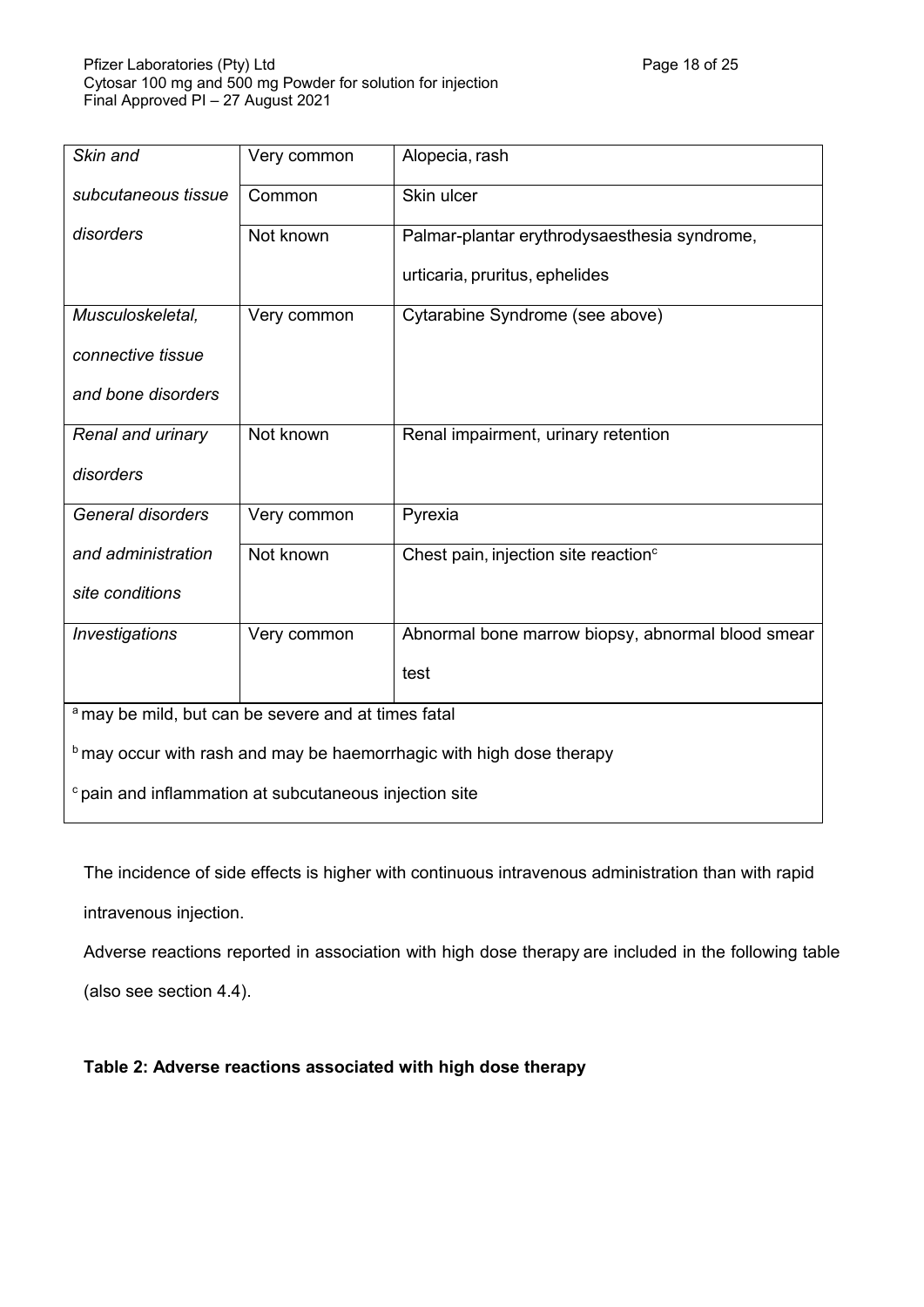| Skin and                                                                    | Very common | Alopecia, rash                                    |  |  |
|-----------------------------------------------------------------------------|-------------|---------------------------------------------------|--|--|
| subcutaneous tissue                                                         | Common      | Skin ulcer                                        |  |  |
| disorders                                                                   | Not known   | Palmar-plantar erythrodysaesthesia syndrome,      |  |  |
|                                                                             |             | urticaria, pruritus, ephelides                    |  |  |
| Musculoskeletal,                                                            | Very common | Cytarabine Syndrome (see above)                   |  |  |
| connective tissue                                                           |             |                                                   |  |  |
| and bone disorders                                                          |             |                                                   |  |  |
| Renal and urinary                                                           | Not known   | Renal impairment, urinary retention               |  |  |
| disorders                                                                   |             |                                                   |  |  |
| General disorders                                                           | Very common | Pyrexia                                           |  |  |
| and administration                                                          | Not known   | Chest pain, injection site reaction <sup>c</sup>  |  |  |
| site conditions                                                             |             |                                                   |  |  |
| Investigations                                                              | Very common | Abnormal bone marrow biopsy, abnormal blood smear |  |  |
|                                                                             |             | test                                              |  |  |
| <sup>a</sup> may be mild, but can be severe and at times fatal              |             |                                                   |  |  |
| <b>b</b> may occur with rash and may be haemorrhagic with high dose therapy |             |                                                   |  |  |
| <sup>c</sup> pain and inflammation at subcutaneous injection site           |             |                                                   |  |  |

The incidence of side effects is higher with continuous intravenous administration than with rapid

intravenous injection.

Adverse reactions reported in association with high dose therapy are included in the following table

(also see section 4.4).

# **Table 2: Adverse reactions associated with high dose therapy**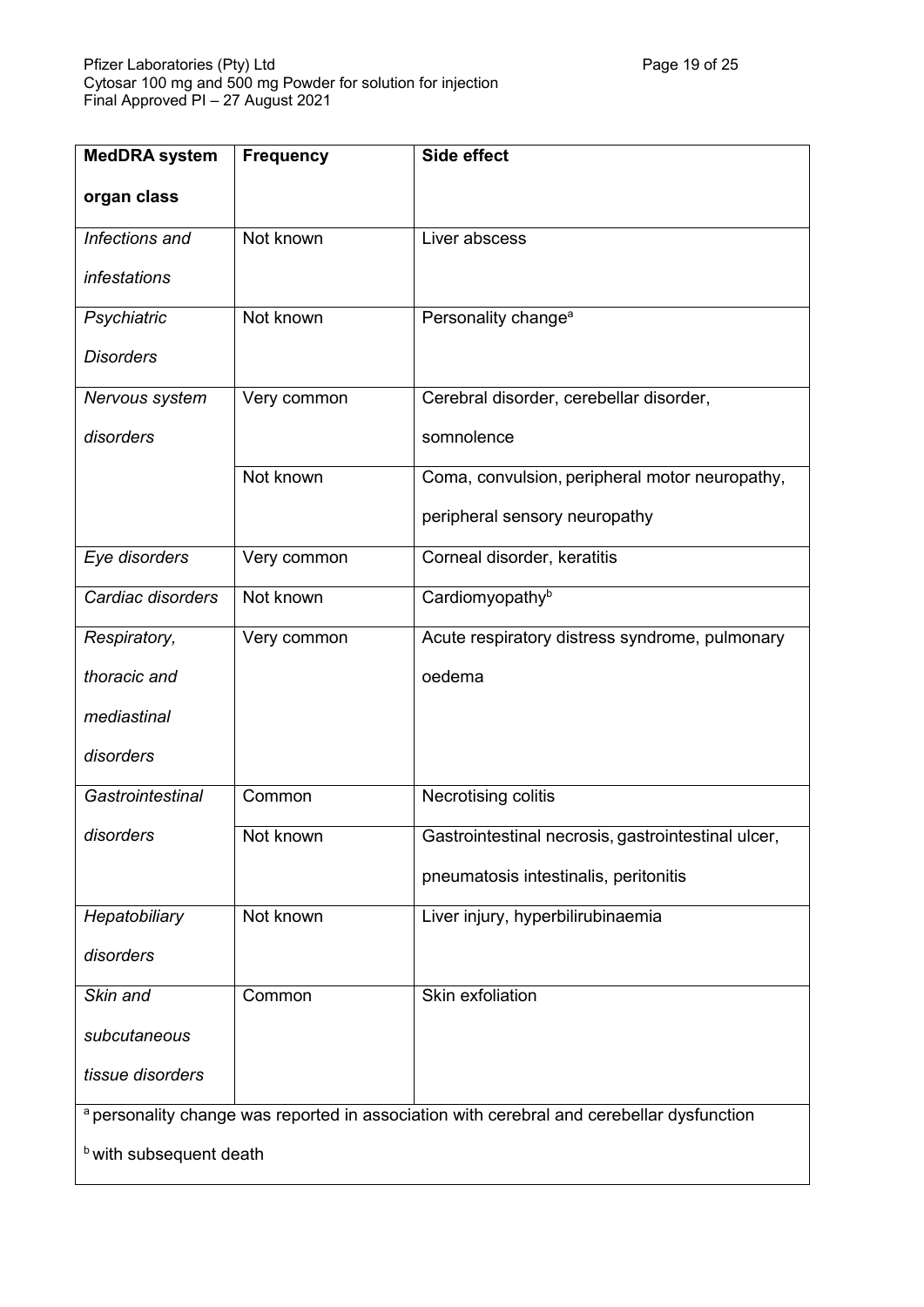| <b>MedDRA</b> system                                                                      | <b>Frequency</b> | Side effect                                        |  |  |
|-------------------------------------------------------------------------------------------|------------------|----------------------------------------------------|--|--|
| organ class                                                                               |                  |                                                    |  |  |
| Infections and                                                                            | Not known        | Liver abscess                                      |  |  |
| infestations                                                                              |                  |                                                    |  |  |
| Psychiatric                                                                               | Not known        | Personality change <sup>a</sup>                    |  |  |
| <b>Disorders</b>                                                                          |                  |                                                    |  |  |
| Nervous system                                                                            | Very common      | Cerebral disorder, cerebellar disorder,            |  |  |
| disorders                                                                                 |                  | somnolence                                         |  |  |
|                                                                                           | Not known        | Coma, convulsion, peripheral motor neuropathy,     |  |  |
|                                                                                           |                  | peripheral sensory neuropathy                      |  |  |
| Eye disorders                                                                             | Very common      | Corneal disorder, keratitis                        |  |  |
| Cardiac disorders                                                                         | Not known        | Cardiomyopathy <sup>b</sup>                        |  |  |
| Respiratory,                                                                              | Very common      | Acute respiratory distress syndrome, pulmonary     |  |  |
| thoracic and                                                                              |                  | oedema                                             |  |  |
| mediastinal                                                                               |                  |                                                    |  |  |
| disorders                                                                                 |                  |                                                    |  |  |
| Gastrointestinal                                                                          | Common           | Necrotising colitis                                |  |  |
| disorders                                                                                 | Not known        | Gastrointestinal necrosis, gastrointestinal ulcer, |  |  |
|                                                                                           |                  | pneumatosis intestinalis, peritonitis              |  |  |
| Hepatobiliary                                                                             | Not known        | Liver injury, hyperbilirubinaemia                  |  |  |
| disorders                                                                                 |                  |                                                    |  |  |
| Skin and                                                                                  | Common           | Skin exfoliation                                   |  |  |
| subcutaneous                                                                              |                  |                                                    |  |  |
| tissue disorders                                                                          |                  |                                                    |  |  |
| a personality change was reported in association with cerebral and cerebellar dysfunction |                  |                                                    |  |  |
| <b>b</b> with subsequent death                                                            |                  |                                                    |  |  |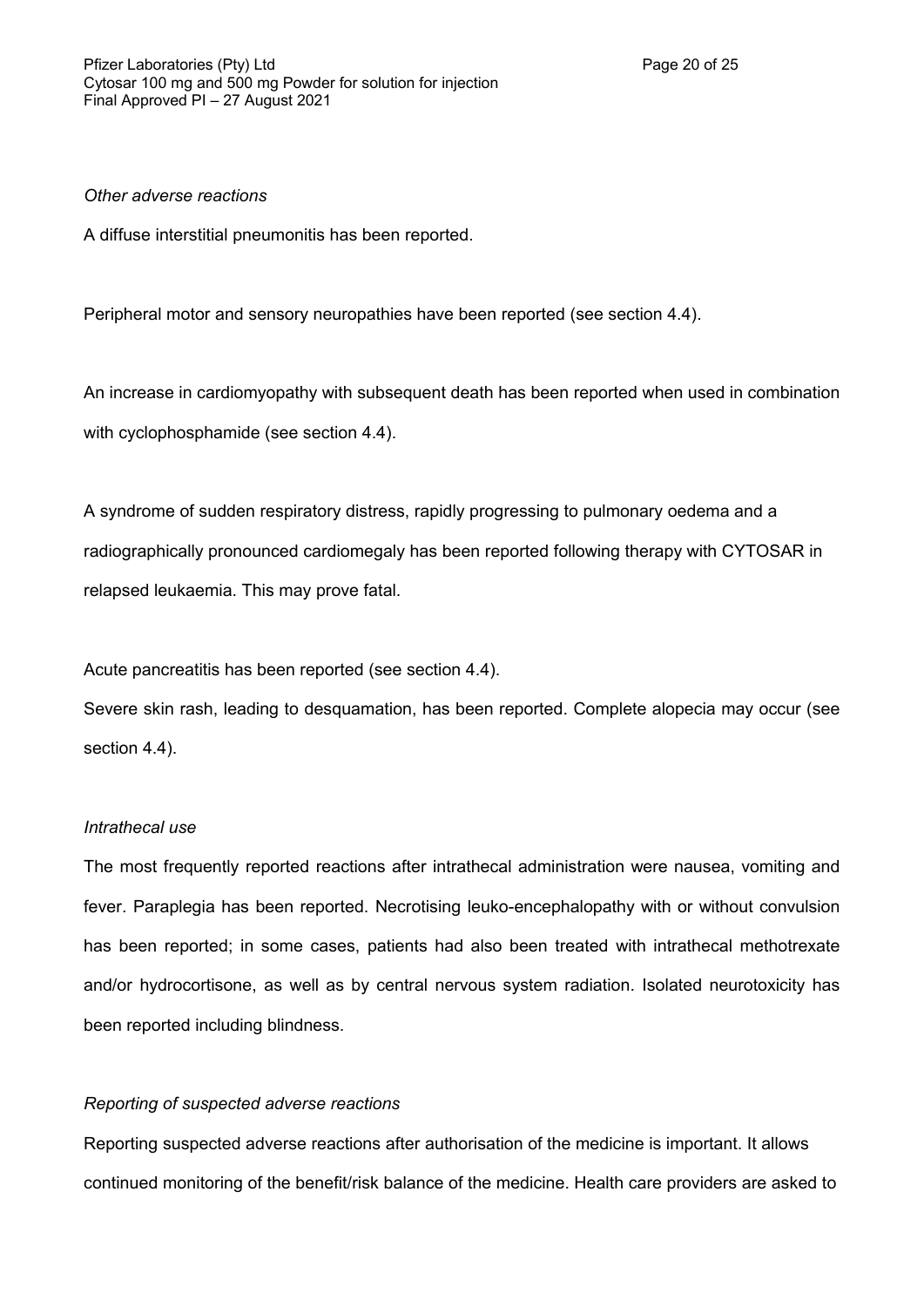### *Other adverse reactions*

A diffuse interstitial pneumonitis has been reported.

Peripheral motor and sensory neuropathies have been reported (see section 4.4).

An increase in cardiomyopathy with subsequent death has been reported when used in combination with cyclophosphamide (see section 4.4).

A syndrome of sudden respiratory distress, rapidly progressing to pulmonary oedema and a radiographically pronounced cardiomegaly has been reported following therapy with CYTOSAR in relapsed leukaemia. This may prove fatal.

Acute pancreatitis has been reported (see section 4.4).

Severe skin rash, leading to desquamation, has been reported. Complete alopecia may occur (see section 4.4).

#### *Intrathecal use*

The most frequently reported reactions after intrathecal administration were nausea, vomiting and fever. Paraplegia has been reported. Necrotising leuko-encephalopathy with or without convulsion has been reported; in some cases, patients had also been treated with intrathecal methotrexate and/or hydrocortisone, as well as by central nervous system radiation. Isolated neurotoxicity has been reported including blindness.

### *Reporting of suspected adverse reactions*

Reporting suspected adverse reactions after authorisation of the medicine is important. It allows continued monitoring of the benefit/risk balance of the medicine. Health care providers are asked to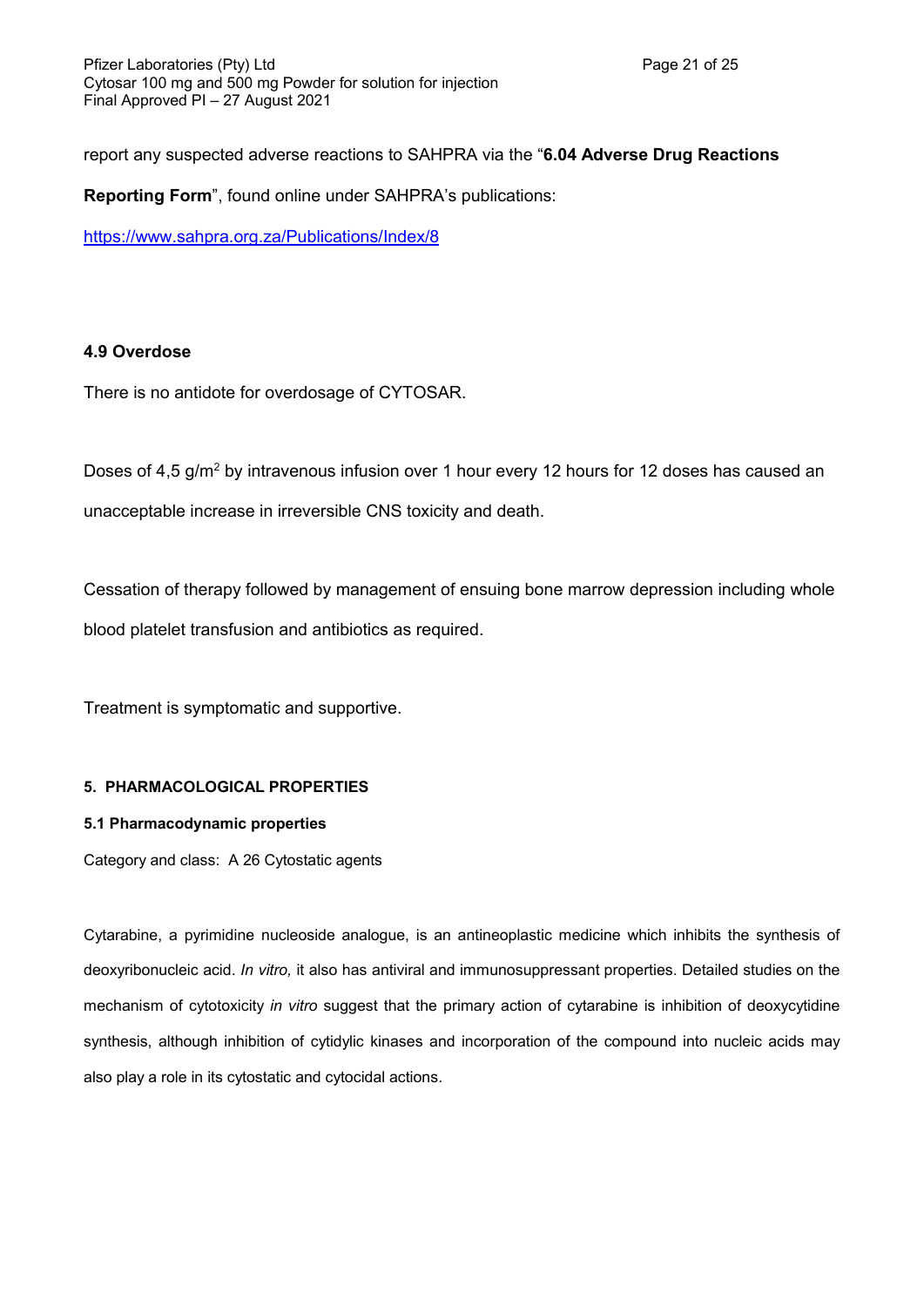report any suspected adverse reactions to SAHPRA via the "**6.04 Adverse Drug Reactions**

**Reporting Form**", found online under SAHPRA's publications:

<https://www.sahpra.org.za/Publications/Index/8>

# **4.9 Overdose**

There is no antidote for overdosage of CYTOSAR.

Doses of 4,5 g/m<sup>2</sup> by intravenous infusion over 1 hour every 12 hours for 12 doses has caused an unacceptable increase in irreversible CNS toxicity and death.

Cessation of therapy followed by management of ensuing bone marrow depression including whole blood platelet transfusion and antibiotics as required.

Treatment is symptomatic and supportive.

### **5. PHARMACOLOGICAL PROPERTIES**

### **5.1 Pharmacodynamic properties**

Category and class: A 26 Cytostatic agents

Cytarabine, a pyrimidine nucleoside analogue, is an antineoplastic medicine which inhibits the synthesis of deoxyribonucleic acid. *In vitro,* it also has antiviral and immunosuppressant properties. Detailed studies on the mechanism of cytotoxicity *in vitro* suggest that the primary action of cytarabine is inhibition of deoxycytidine synthesis, although inhibition of cytidylic kinases and incorporation of the compound into nucleic acids may also play a role in its cytostatic and cytocidal actions.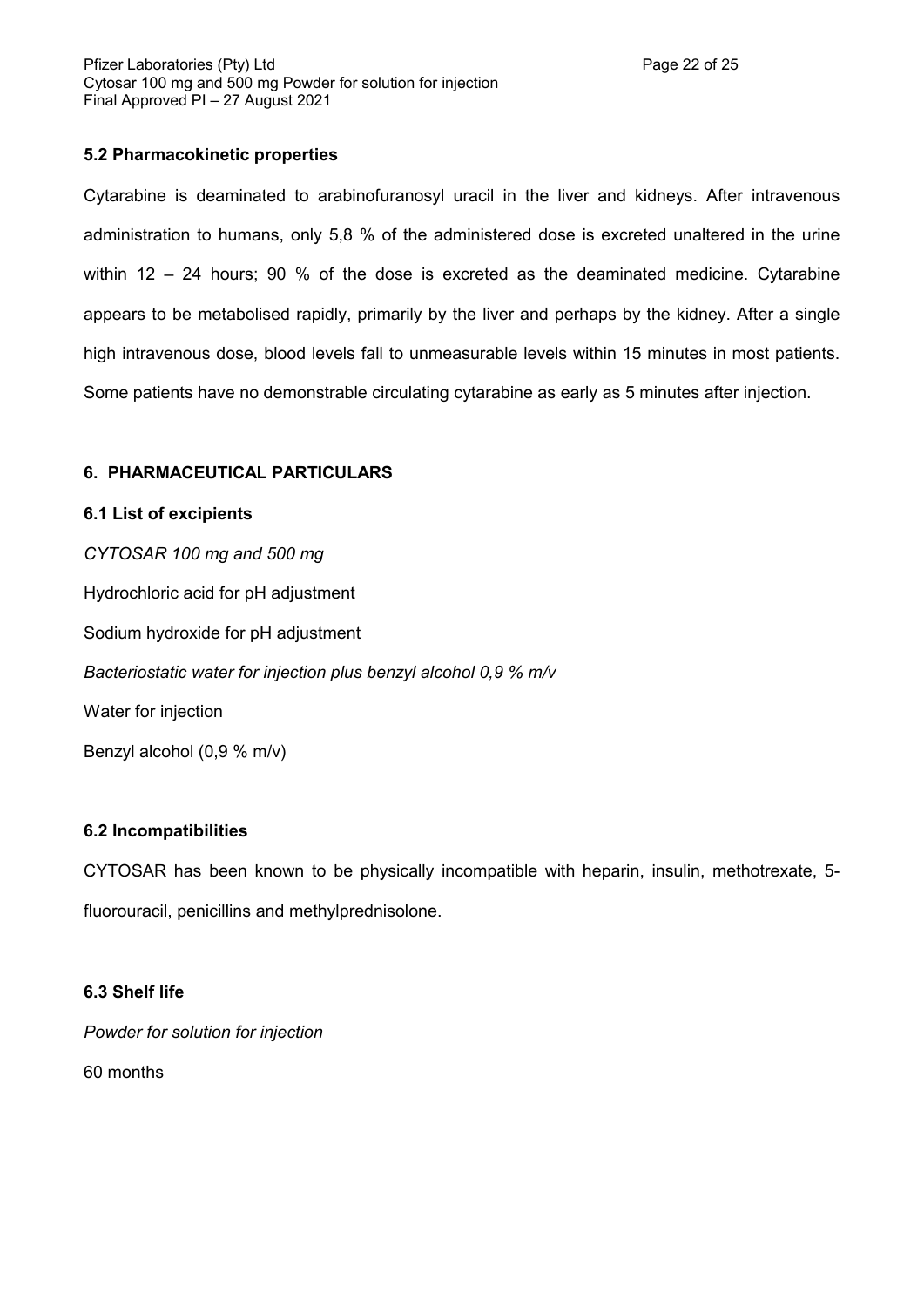# **5.2 Pharmacokinetic properties**

Cytarabine is deaminated to arabinofuranosyl uracil in the liver and kidneys. After intravenous administration to humans, only 5,8 % of the administered dose is excreted unaltered in the urine within 12 – 24 hours; 90 % of the dose is excreted as the deaminated medicine. Cytarabine appears to be metabolised rapidly, primarily by the liver and perhaps by the kidney. After a single high intravenous dose, blood levels fall to unmeasurable levels within 15 minutes in most patients. Some patients have no demonstrable circulating cytarabine as early as 5 minutes after injection.

### **6. PHARMACEUTICAL PARTICULARS**

### **6.1 List of excipients**

*CYTOSAR 100 mg and 500 mg* Hydrochloric acid for pH adjustment Sodium hydroxide for pH adjustment *Bacteriostatic water for injection plus benzyl alcohol 0,9 % m/v* Water for injection Benzyl alcohol (0,9 % m/v)

# **6.2 Incompatibilities**

CYTOSAR has been known to be physically incompatible with heparin, insulin, methotrexate, 5 fluorouracil, penicillins and methylprednisolone.

### **6.3 Shelf life**

*Powder for solution for injection* 60 months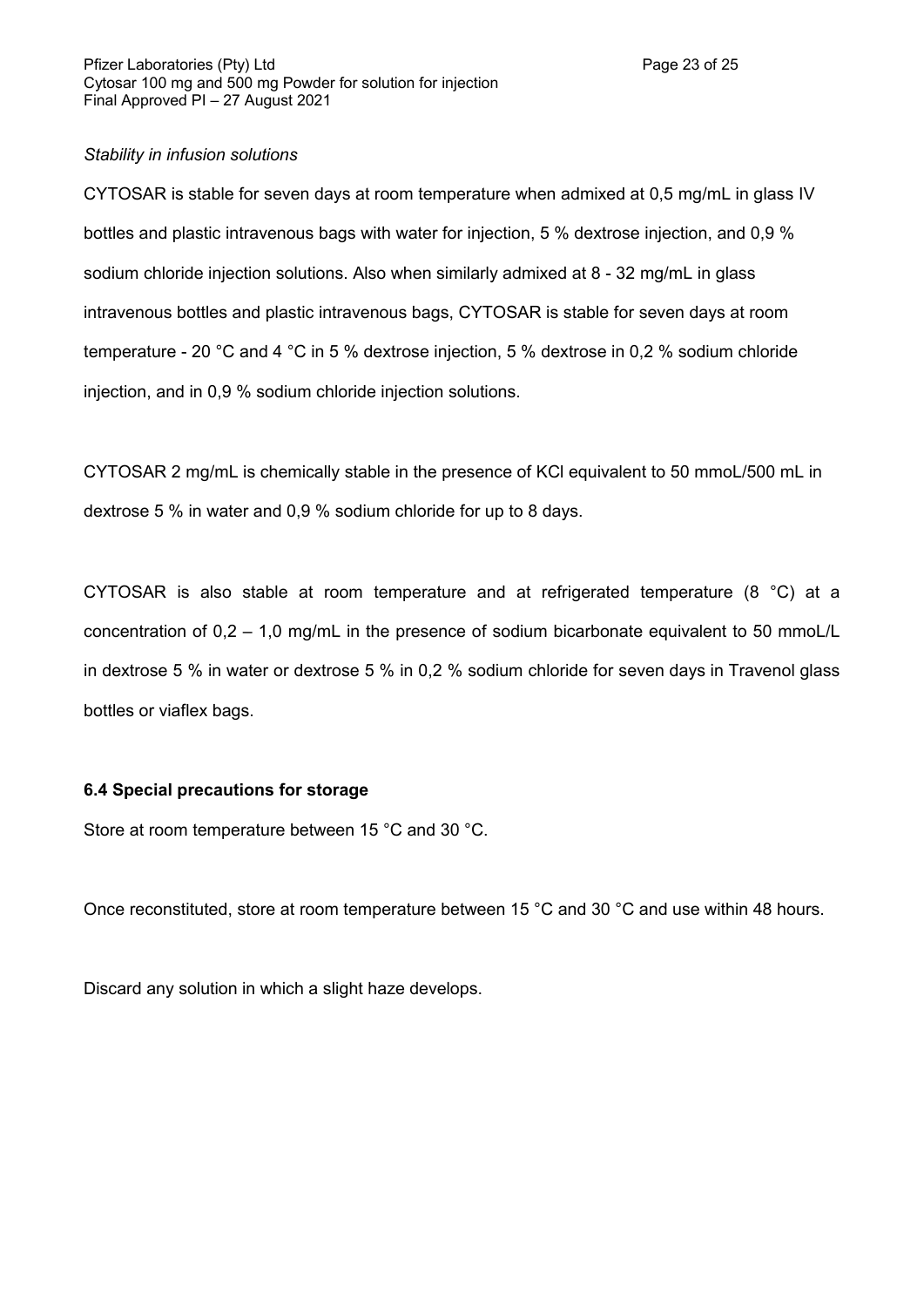### *Stability in infusion solutions*

CYTOSAR is stable for seven days at room temperature when admixed at 0,5 mg/mL in glass IV bottles and plastic intravenous bags with water for injection, 5 % dextrose injection, and 0,9 % sodium chloride injection solutions. Also when similarly admixed at 8 - 32 mg/mL in glass intravenous bottles and plastic intravenous bags, CYTOSAR is stable for seven days at room temperature - 20 °C and 4 °C in 5 % dextrose injection, 5 % dextrose in 0,2 % sodium chloride injection, and in 0,9 % sodium chloride injection solutions.

CYTOSAR 2 mg/mL is chemically stable in the presence of KCl equivalent to 50 mmoL/500 mL in dextrose 5 % in water and 0,9 % sodium chloride for up to 8 days.

CYTOSAR is also stable at room temperature and at refrigerated temperature (8 °C) at a concentration of 0,2 – 1,0 mg/mL in the presence of sodium bicarbonate equivalent to 50 mmoL/L in dextrose 5 % in water or dextrose 5 % in 0,2 % sodium chloride for seven days in Travenol glass bottles or viaflex bags.

### **6.4 Special precautions for storage**

Store at room temperature between 15 °C and 30 °C.

Once reconstituted, store at room temperature between 15 °C and 30 °C and use within 48 hours.

Discard any solution in which a slight haze develops.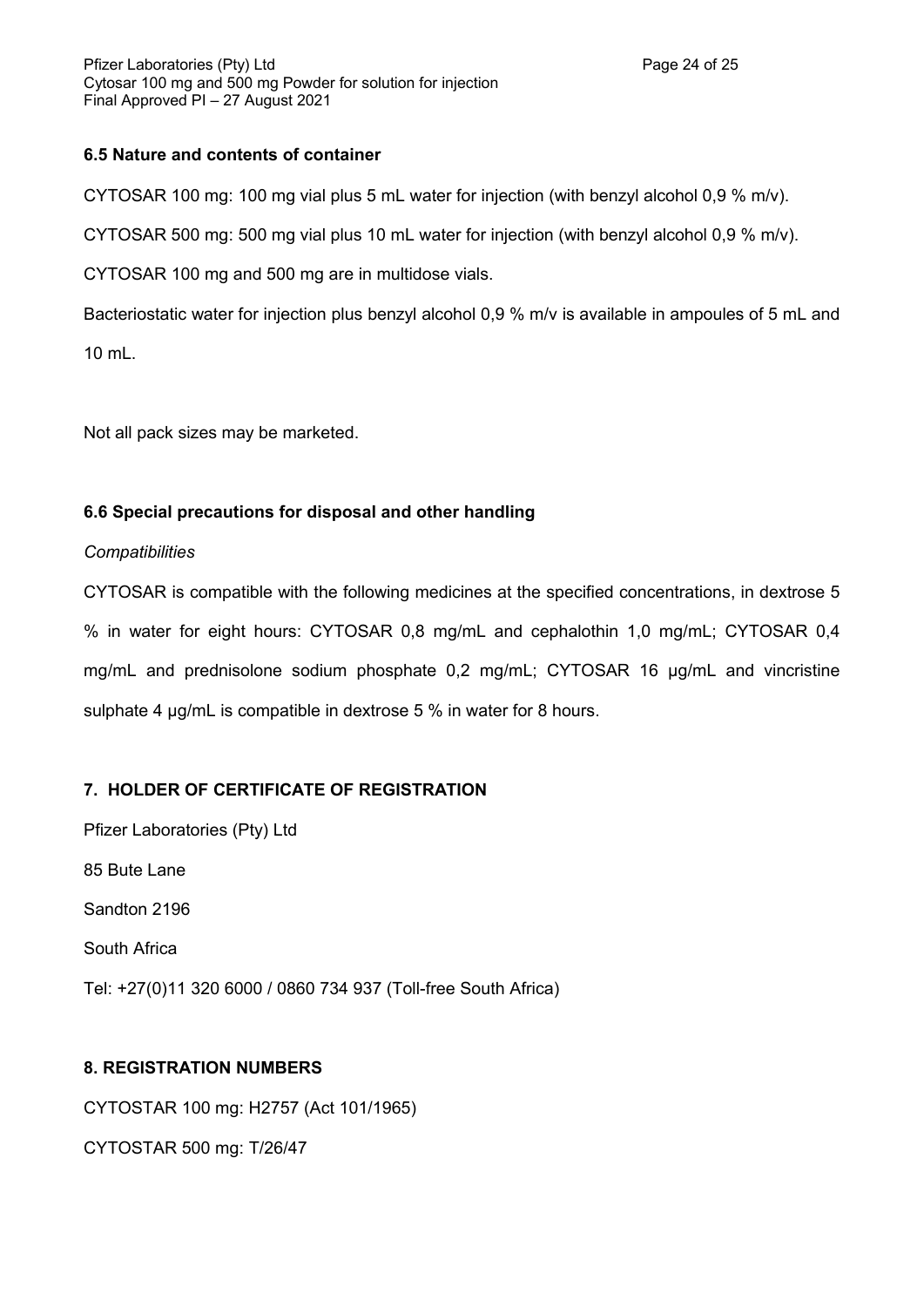# **6.5 Nature and contents of container**

CYTOSAR 100 mg: 100 mg vial plus 5 mL water for injection (with benzyl alcohol 0,9 % m/v).

CYTOSAR 500 mg: 500 mg vial plus 10 mL water for injection (with benzyl alcohol 0,9 % m/v).

CYTOSAR 100 mg and 500 mg are in multidose vials.

Bacteriostatic water for injection plus benzyl alcohol 0,9 % m/v is available in ampoules of 5 mL and 10 mL.

Not all pack sizes may be marketed.

# **6.6 Special precautions for disposal and other handling**

# *Compatibilities*

CYTOSAR is compatible with the following medicines at the specified concentrations, in dextrose 5 % in water for eight hours: CYTOSAR 0,8 mg/mL and cephalothin 1,0 mg/mL; CYTOSAR 0,4 mg/mL and prednisolone sodium phosphate 0,2 mg/mL; CYTOSAR 16 µg/mL and vincristine sulphate 4 µg/mL is compatible in dextrose 5 % in water for 8 hours.

# **7. HOLDER OF CERTIFICATE OF REGISTRATION**

Pfizer Laboratories (Pty) Ltd 85 Bute Lane Sandton 2196 South Africa Tel: +27(0)11 320 6000 / 0860 734 937 (Toll-free South Africa)

# **8. REGISTRATION NUMBERS**

CYTOSTAR 100 mg: H2757 (Act 101/1965) CYTOSTAR 500 mg: T/26/47